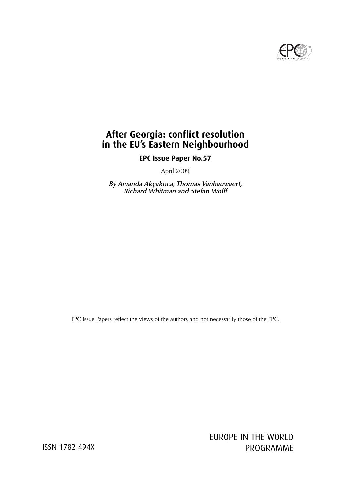

# **After Georgia: conflict resolution in the EU's Eastern Neighbourhood**

**EPC Issue Paper No.57**

April 2009

**By Amanda Akçakoca, Thomas Vanhauwaert, Richard Whitman and Stefan Wolff**

EPC Issue Papers reflect the views of the authors and not necessarily those of the EPC.

EUROPE IN THE WORLD ISSN 1782-494X PROGRAMME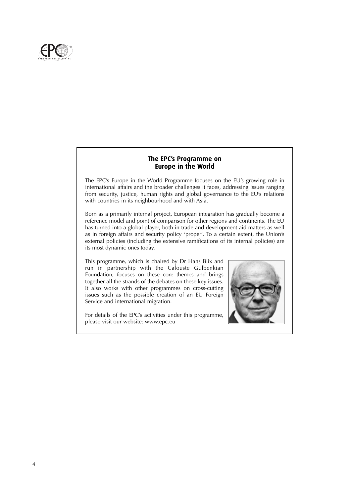

#### **The EPC's Programme on Europe in the World**

The EPC's Europe in the World Programme focuses on the EU's growing role in international affairs and the broader challenges it faces, addressing issues ranging from security, justice, human rights and global governance to the EU's relations with countries in its neighbourhood and with Asia.

Born as a primarily internal project, European integration has gradually become a reference model and point of comparison for other regions and continents. The EU has turned into a global player, both in trade and development aid matters as well as in foreign affairs and security policy 'proper'. To a certain extent, the Union's external policies (including the extensive ramifications of its internal policies) are its most dynamic ones today.

This programme, which is chaired by Dr Hans Blix and run in partnership with the Calouste Gulbenkian Foundation, focuses on these core themes and brings together all the strands of the debates on these key issues. It also works with other programmes on cross-cutting issues such as the possible creation of an EU Foreign Service and international migration.

For details of the EPC's activities under this programme, please visit our website: www.epc.eu

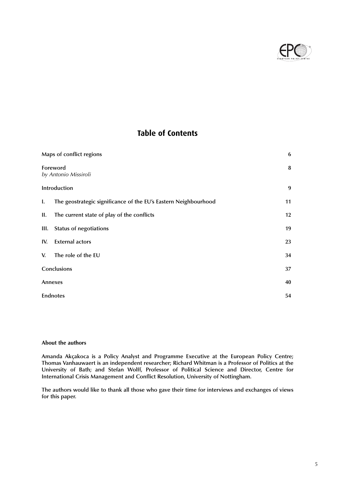

## **Table of Contents**

|     | Maps of conflict regions                                        | 6  |
|-----|-----------------------------------------------------------------|----|
|     | Foreword<br>by Antonio Missiroli                                | 8  |
|     | Introduction                                                    | 9  |
| I.  | The geostrategic significance of the EU's Eastern Neighbourhood | 11 |
| П.  | The current state of play of the conflicts                      | 12 |
|     | III. Status of negotiations                                     | 19 |
| IV. | <b>External actors</b>                                          | 23 |
| V.  | The role of the EU                                              | 34 |
|     | Conclusions                                                     | 37 |
|     | Annexes                                                         | 40 |
|     | <b>Endnotes</b>                                                 | 54 |

#### **About the authors**

**Amanda Akçakoca is a Policy Analyst and Programme Executive at the European Policy Centre; Thomas Vanhauwaert is an independent researcher; Richard Whitman is a Professor of Politics at the University of Bath; and Stefan Wolff, Professor of Political Science and Director, Centre for International Crisis Management and Conflict Resolution, University of Nottingham.**

**The authors would like to thank all those who gave their time for interviews and exchanges of views for this paper.**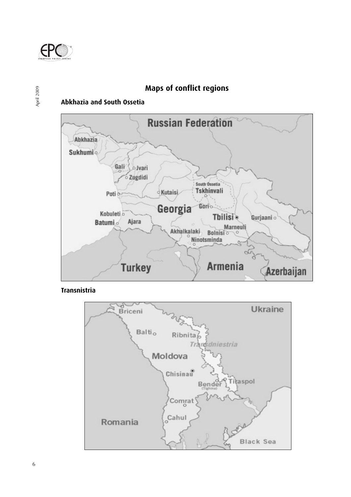

April 2009

## **Maps of conflict regions**

## **Abkhazia and South Ossetia**



**Transnistria**

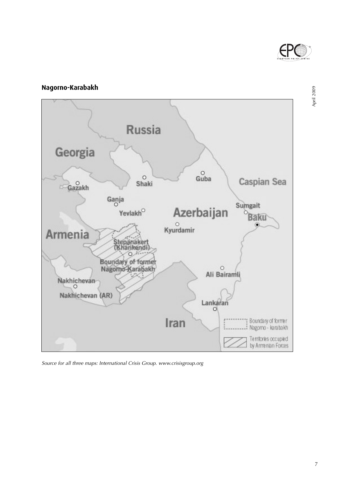

April 2009

# **Nagorno-Karabakh Russia** Georgia  $\overset{\circ}{\mathsf{Guba}}$  $\circ$ Caspian Sea Shaki Gazakh Ganja Sumgait Azerbaijan Yevlakh $^{\circ}$ **Baku**  $\overset{\circ}{\mathsf{K}yurdamir}$ Armenia Stepanakert<br>(Khankendi)  $\mathcal{H}$ Ö. Boundary of former<br>Nagorno-Karabakh  $\circ$ Ali Bairamli Nakhichevan Nakhichevan (AR)  $Lankaran$ Boundary of former<br>Nagomo - karabakh Iran Territories occupied<br>by Armenian Forces

Source for all three maps: International Crisis Group. www.crisisgroup.org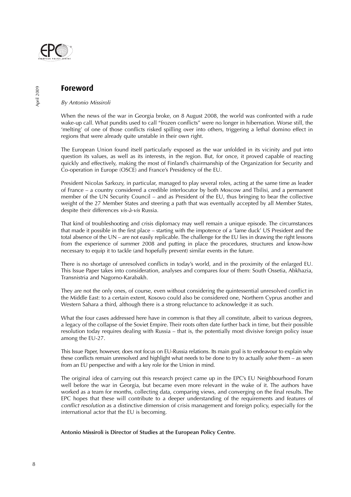

### **Foreword**

#### By Antonio Missiroli

When the news of the war in Georgia broke, on 8 August 2008, the world was confronted with a rude wake-up call. What pundits used to call "frozen conflicts" were no longer in hibernation. Worse still, the 'melting' of one of those conflicts risked spilling over into others, triggering a lethal domino effect in regions that were already quite unstable in their own right.

The European Union found itself particularly exposed as the war unfolded in its vicinity and put into question its values, as well as its interests, in the region. But, for once, it proved capable of reacting quickly and effectively, making the most of Finland's chairmanship of the Organization for Security and Co-operation in Europe (OSCE) and France's Presidency of the EU.

President Nicolas Sarkozy, in particular, managed to play several roles, acting at the same time as leader of France – a country considered a credible interlocutor by both Moscow and Tbilisi, and a permanent member of the UN Security Council – and as President of the EU, thus bringing to bear the collective weight of the 27 Member States and steering a path that was eventually accepted by all Member States, despite their differences vis-à-vis Russia.

That kind of troubleshooting and crisis diplomacy may well remain a unique episode. The circumstances that made it possible in the first place – starting with the impotence of a 'lame duck' US President and the total absence of the UN – are not easily replicable. The challenge for the EU lies in drawing the right lessons from the experience of summer 2008 and putting in place the procedures, structures and know-how necessary to equip it to tackle (and hopefully prevent) similar events in the future.

There is no shortage of unresolved conflicts in today's world, and in the proximity of the enlarged EU. This Issue Paper takes into consideration, analyses and compares four of them: South Ossetia, Abkhazia, Transnistria and Nagorno-Karabakh.

They are not the only ones, of course, even without considering the quintessential unresolved conflict in the Middle East: to a certain extent, Kosovo could also be considered one, Northern Cyprus another and Western Sahara a third, although there is a strong reluctance to acknowledge it as such.

What the four cases addressed here have in common is that they all constitute, albeit to various degrees, a legacy of the collapse of the Soviet Empire. Their roots often date further back in time, but their possible resolution today requires dealing with Russia – that is, the potentially most divisive foreign policy issue among the EU-27.

This Issue Paper, however, does not focus on EU-Russia relations. Its main goal is to endeavour to explain why these conflicts remain unresolved and highlight what needs to be done to try to actually solve them – as seen from an EU perspective and with a key role for the Union in mind.

The original idea of carrying out this research project came up in the EPC's EU Neighbourhood Forum well before the war in Georgia, but became even more relevant in the wake of it. The authors have worked as a team for months, collecting data, comparing views, and converging on the final results. The EPC hopes that these will contribute to a deeper understanding of the requirements and features of conflict resolution as a distinctive dimension of crisis management and foreign policy, especially for the international actor that the EU is becoming.

#### **Antonio Missiroli is Director of Studies at the European Policy Centre.**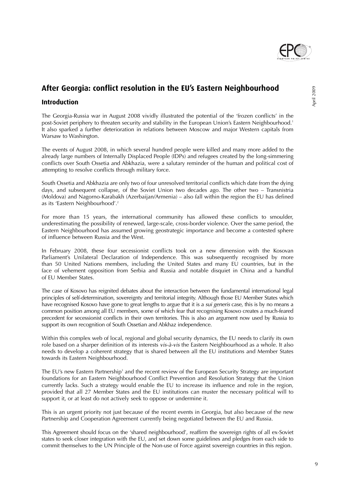

# **After Georgia: conflict resolution in the EU's Eastern Neighbourhood**

#### **Introduction**

The Georgia-Russia war in August 2008 vividly illustrated the potential of the 'frozen conflicts' in the post-Soviet periphery to threaten security and stability in the European Union's Eastern Neighbourhood.<sup>1</sup> It also sparked a further deterioration in relations between Moscow and major Western capitals from Warsaw to Washington.

The events of August 2008, in which several hundred people were killed and many more added to the already large numbers of Internally Displaced People (IDPs) and refugees created by the long-simmering conflicts over South Ossetia and Abkhazia, were a salutary reminder of the human and political cost of attempting to resolve conflicts through military force.

South Ossetia and Abkhazia are only two of four unresolved territorial conflicts which date from the dying days, and subsequent collapse, of the Soviet Union two decades ago. The other two – Transnistria (Moldova) and Nagorno-Karabakh (Azerbaijan/Armenia) – also fall within the region the EU has defined as its 'Eastern Neighbourhood'.2

For more than 15 years, the international community has allowed these conflicts to smoulder, underestimating the possibility of renewed, large-scale, cross-border violence. Over the same period, the Eastern Neighbourhood has assumed growing geostrategic importance and become a contested sphere of influence between Russia and the West.

In February 2008, these four secessionist conflicts took on a new dimension with the Kosovan Parliament's Unilateral Declaration of Independence. This was subsequently recognised by more than 50 United Nations members, including the United States and many EU countries, but in the face of vehement opposition from Serbia and Russia and notable disquiet in China and a handful of EU Member States.

The case of Kosovo has reignited debates about the interaction between the fundamental international legal principles of self-determination, sovereignty and territorial integrity. Although those EU Member States which have recognised Kosovo have gone to great lengths to argue that it is a sui generis case, this is by no means a common position among all EU members, some of which fear that recognising Kosovo creates a much-feared precedent for secessionist conflicts in their own territories. This is also an argument now used by Russia to support its own recognition of South Ossetian and Abkhaz independence.

Within this complex web of local, regional and global security dynamics, the EU needs to clarify its own role based on a sharper definition of its interests vis-à-vis the Eastern Neighbourhood as a whole. It also needs to develop a coherent strategy that is shared between all the EU institutions and Member States towards its Eastern Neighbourhood.

The EU's new Eastern Partnership<sup>3</sup> and the recent review of the European Security Strategy are important foundations for an Eastern Neighbourhood Conflict Prevention and Resolution Strategy that the Union currently lacks. Such a strategy would enable the EU to increase its influence and role in the region, provided that all 27 Member States and the EU institutions can muster the necessary political will to support it, or at least do not actively seek to oppose or undermine it.

This is an urgent priority not just because of the recent events in Georgia, but also because of the new Partnership and Cooperation Agreement currently being negotiated between the EU and Russia.

This Agreement should focus on the 'shared neighbourhood', reaffirm the sovereign rights of all ex-Soviet states to seek closer integration with the EU, and set down some guidelines and pledges from each side to commit themselves to the UN Principle of the Non-use of Force against sovereign countries in this region.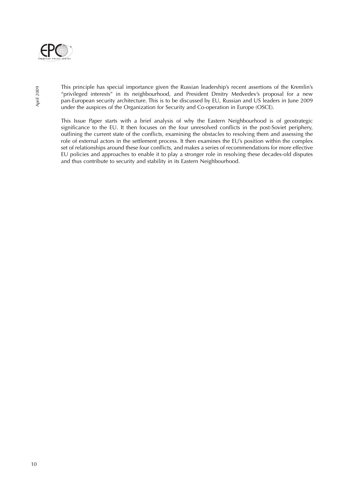

April 2009

This principle has special importance given the Russian leadership's recent assertions of the Kremlin's "privileged interests" in its neighbourhood, and President Dmitry Medvedev's proposal for a new pan-European security architecture. This is to be discussed by EU, Russian and US leaders in June 2009 under the auspices of the Organization for Security and Co-operation in Europe (OSCE).

This Issue Paper starts with a brief analysis of why the Eastern Neighbourhood is of geostrategic significance to the EU. It then focuses on the four unresolved conflicts in the post-Soviet periphery, outlining the current state of the conflicts, examining the obstacles to resolving them and assessing the role of external actors in the settlement process. It then examines the EU's position within the complex set of relationships around these four conflicts, and makes a series of recommendations for more effective EU policies and approaches to enable it to play a stronger role in resolving these decades-old disputes and thus contribute to security and stability in its Eastern Neighbourhood.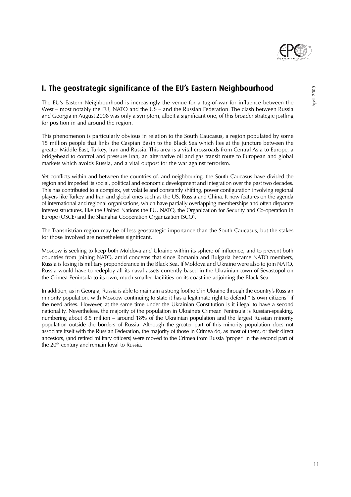

# **I. The geostrategic significance of the EU's Eastern Neighbourhood**

The EU's Eastern Neighbourhood is increasingly the venue for a tug-of-war for influence between the West – most notably the EU, NATO and the US – and the Russian Federation. The clash between Russia and Georgia in August 2008 was only a symptom, albeit a significant one, of this broader strategic jostling for position in and around the region.

This phenomenon is particularly obvious in relation to the South Caucasus, a region populated by some 15 million people that links the Caspian Basin to the Black Sea which lies at the juncture between the greater Middle East, Turkey, Iran and Russia. This area is a vital crossroads from Central Asia to Europe, a bridgehead to control and pressure Iran, an alternative oil and gas transit route to European and global markets which avoids Russia, and a vital outpost for the war against terrorism.

Yet conflicts within and between the countries of, and neighbouring, the South Caucasus have divided the region and impeded its social, political and economic development and integration over the past two decades. This has contributed to a complex, yet volatile and constantly shifting, power configuration involving regional players like Turkey and Iran and global ones such as the US, Russia and China. It now features on the agenda of international and regional organisations, which have partially overlapping memberships and often disparate interest structures, like the United Nations the EU, NATO, the Organization for Security and Co-operation in Europe (OSCE) and the Shanghai Cooperation Organization (SCO).

The Transnistrian region may be of less geostrategic importance than the South Caucasus, but the stakes for those involved are nonetheless significant.

Moscow is seeking to keep both Moldova and Ukraine within its sphere of influence, and to prevent both countries from joining NATO, amid concerns that since Romania and Bulgaria became NATO members, Russia is losing its military preponderance in the Black Sea. If Moldova and Ukraine were also to join NATO, Russia would have to redeploy all its naval assets currently based in the Ukrainian town of Sevastopol on the Crimea Peninsula to its own, much smaller, facilities on its coastline adjoining the Black Sea.

In addition, as in Georgia, Russia is able to maintain a strong foothold in Ukraine through the country's Russian minority population, with Moscow continuing to state it has a legitimate right to defend "its own citizens" if the need arises. However, at the same time under the Ukrainian Constitution is it illegal to have a second nationality. Nevertheless, the majority of the population in Ukraine's Crimean Peninsula is Russian-speaking, numbering about 8.5 million – around 18% of the Ukrainian population and the largest Russian minority population outside the borders of Russia. Although the greater part of this minority population does not associate itself with the Russian Federation, the majority of those in Crimea do, as most of them, or their direct ancestors, (and retired military officers) were moved to the Crimea from Russia 'proper' in the second part of the 20<sup>th</sup> century and remain loyal to Russia.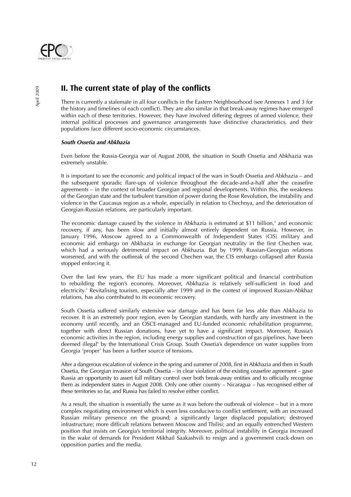

# **II. The current state of play of the conflicts**

There is currently a stalemate in all four conflicts in the Eastern Neighbourhood (see Annexes 1 and 3 for the history and timelines of each conflict). They are also similar in that break-away regimes have emerged within each of these territories. However, they have involved differing degrees of armed violence, their internal political processes and governance arrangements have distinctive characteristics, and their populations face different socio-economic circumstances.

#### **South Ossetia and Abkhazia**

Even before the Russia-Georgia war of August 2008, the situation in South Ossetia and Abkhazia was extremely unstable.

It is important to see the economic and political impact of the wars in South Ossetia and Abkhazia – and the subsequent sporadic flare-ups of violence throughout the decade-and-a-half after the ceasefire agreements – in the context of broader Georgian and regional developments. Within this, the weakness of the Georgian state and the turbulent transition of power during the Rose Revolution, the instability and violence in the Caucasus region as a whole, especially in relation to Chechnya, and the deterioration of Georgian-Russian relations, are particularly important.

The economic damage caused by the violence in Abkhazia is estimated at \$11 billion, $<sup>4</sup>$  and economic</sup> recovery, if any, has been slow and initially almost entirely dependent on Russia. However, in January 1996, Moscow agreed to a Commonwealth of Independent States (CIS) military and economic aid embargo on Abkhazia in exchange for Georgian neutrality in the first Chechen war, which had a seriously detrimental impact on Abkhazia. But by 1999, Russian-Georgian relations worsened, and with the outbreak of the second Chechen war, the CIS embargo collapsed after Russia stopped enforcing it.

Over the last few years, the EU has made a more significant political and financial contribution to rebuilding the region's economy. Moreover, Abkhazia is relatively self-sufficient in food and electricity.<sup>5</sup> Revitalising tourism, especially after 1999 and in the context of improved Russian-Abkhaz relations, has also contributed to its economic recovery.

South Ossetia suffered similarly extensive war damage and has been far less able than Abkhazia to recover. It is an extremely poor region, even by Georgian standards, with hardly any investment in the economy until recently, and an OSCE-managed and EU-funded economic rehabilitation programme, together with direct Russian donations, have yet to have a significant impact. Moreover, Russia's economic activities in the region, including energy supplies and construction of gas pipelines, have been deemed illegal<sup>6</sup> by the International Crisis Group. South Ossetia's dependence on water supplies from Georgia 'proper' has been a further source of tensions.

After a dangerous escalation of violence in the spring and summer of 2008, first in Abkhazia and then in South Ossetia, the Georgian invasion of South Ossetia – in clear violation of the existing ceasefire agreement – gave Russia an opportunity to assert full military control over both break-away entities and to officially recognise them as independent states in August 2008. Only one other country – Nicaragua – has recognised either of these territories so far, and Russia has failed to resolve either conflict.

As a result, the situation is essentially the same as it was before the outbreak of violence – but in a more complex negotiating environment which is even less conducive to conflict settlement, with an increased Russian military presence on the ground; a significantly larger displaced population; destroyed infrastructure; more difficult relations between Moscow and Tbilisi; and an equally entrenched Western position that insists on Georgia's territorial integrity. Moreover, political instability in Georgia increased in the wake of demands for President Mikhail Saakashvili to resign and a government crack-down on opposition parties and the media.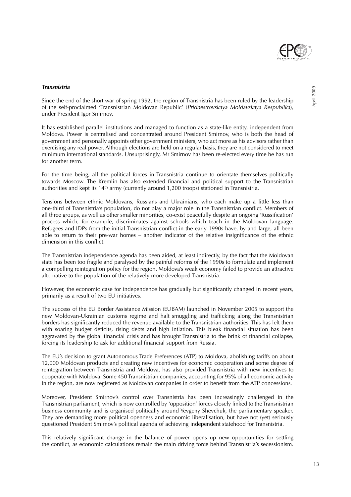

#### **Transnistria**

April 2009

Since the end of the short war of spring 1992, the region of Transnistria has been ruled by the leadership of the self-proclaimed 'Transnistrian Moldovan Republic' (Pridnestrovskaya Moldavskaya Respublika), under President Igor Smirnov.

It has established parallel institutions and managed to function as a state-like entity, independent from Moldova. Power is centralised and concentrated around President Smirnov, who is both the head of government and personally appoints other government ministers, who act more as his advisors rather than exercising any real power. Although elections are held on a regular basis, they are not considered to meet minimum international standards. Unsurprisingly, Mr Smirnov has been re-elected every time he has run for another term.

For the time being, all the political forces in Transnistria continue to orientate themselves politically towards Moscow. The Kremlin has also extended financial and political support to the Transnistrian authorities and kept its 14th army (currently around 1,200 troops) stationed in Transnistria.

Tensions between ethnic Moldovans, Russians and Ukrainians, who each make up a little less than one-third of Transnistria's population, do not play a major role in the Transnistrian conflict. Members of all three groups, as well as other smaller minorities, co-exist peacefully despite an ongoing 'Russification' process which, for example, discriminates against schools which teach in the Moldovan language. Refugees and IDPs from the initial Transnistrian conflict in the early 1990s have, by and large, all been able to return to their pre-war homes – another indicator of the relative insignificance of the ethnic dimension in this conflict.

The Transnistrian independence agenda has been aided, at least indirectly, by the fact that the Moldovan state has been too fragile and paralysed by the painful reforms of the 1990s to formulate and implement a compelling reintegration policy for the region. Moldova's weak economy failed to provide an attractive alternative to the population of the relatively more developed Transnistria.

However, the economic case for independence has gradually but significantly changed in recent years, primarily as a result of two EU initiatives.

The success of the EU Border Assistance Mission (EUBAM) launched in November 2005 to support the new Moldovan-Ukrainian customs regime and halt smuggling and trafficking along the Transnistrian borders has significantly reduced the revenue available to the Transnistrian authorities. This has left them with soaring budget deficits, rising debts and high inflation. This bleak financial situation has been aggravated by the global financial crisis and has brought Transnistria to the brink of financial collapse, forcing its leadership to ask for additional financial support from Russia.

The EU's decision to grant Autonomous Trade Preferences (ATP) to Moldova, abolishing tariffs on about 12,000 Moldovan products and creating new incentives for economic cooperation and some degree of reintegration between Transnistria and Moldova, has also provided Transnistria with new incentives to cooperate with Moldova. Some 450 Transnistrian companies, accounting for 95% of all economic activity in the region, are now registered as Moldovan companies in order to benefit from the ATP concessions.

Moreover, President Smirnov's control over Transnistria has been increasingly challenged in the Transnistrian parliament, which is now controlled by 'opposition' forces closely linked to the Transnistrian business community and is organised politically around Yevgeny Shevchuk, the parliamentary speaker. They are demanding more political openness and economic liberalisation, but have not (yet) seriously questioned President Smirnov's political agenda of achieving independent statehood for Transnistria.

This relatively significant change in the balance of power opens up new opportunities for settling the conflict, as economic calculations remain the main driving force behind Transnistria's secessionism.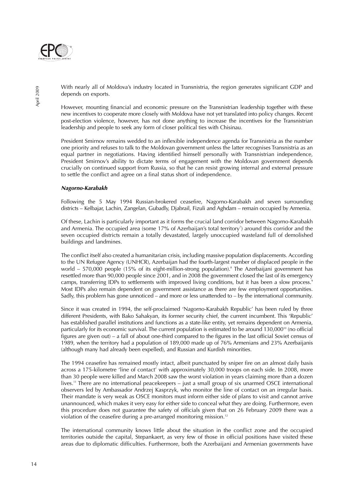

With nearly all of Moldova's industry located in Transnistria, the region generates significant GDP and depends on exports.

However, mounting financial and economic pressure on the Transnistrian leadership together with these new incentives to cooperate more closely with Moldova have not yet translated into policy changes. Recent post-election violence, however, has not done anything to increase the incentives for the Transnistrian leadership and people to seek any form of closer political ties with Chisinau.

President Smirnov remains wedded to an inflexible independence agenda for Transnistria as the number one priority and refuses to talk to the Moldovan government unless the latter recognises Transnistria as an equal partner in negotiations. Having identified himself personally with Transnistrian independence, President Smirnov's ability to dictate terms of engagement with the Moldovan government depends crucially on continued support from Russia, so that he can resist growing internal and external pressure to settle the conflict and agree on a final status short of independence.

#### **Nagorno-Karabakh**

Following the 5 May 1994 Russian-brokered ceasefire, Nagorno-Karabakh and seven surrounding districts – Kelbajar, Lachin, Zangelan, Gubadly, Djabrail, Fizuli and Aghdam – remain occupied by Armenia.

Of these, Lachin is particularly important as it forms the crucial land corridor between Nagorno-Karabakh and Armenia. The occupied area (some 17% of Azerbaijan's total territory<sup>7</sup>) around this corridor and the seven occupied districts remain a totally devastated, largely unoccupied wasteland full of demolished buildings and landmines.

The conflict itself also created a humanitarian crisis, including massive population displacements. According to the UN Refugee Agency (UNHCR), Azerbaijan had the fourth-largest number of displaced people in the world - 570,000 people (15% of its eight-million-strong population).<sup>8</sup> The Azerbaijani government has resettled more than 90,000 people since 2001, and in 2008 the government closed the last of its emergency camps, transferring IDPs to settlements with improved living conditions, but it has been a slow process.<sup>9</sup> Most IDPs also remain dependent on government assistance as there are few employment opportunities. Sadly, this problem has gone unnoticed – and more or less unattended to – by the international community.

Since it was created in 1994, the self-proclaimed 'Nagorno-Karabakh Republic' has been ruled by three different Presidents, with Bako Sahakyan, its former security chief, the current incumbent. This 'Republic' has established parallel institutions and functions as a state-like entity, yet remains dependent on Armenia, particularly for its economic survival. The current population is estimated to be around 130,000<sup>10</sup> (no official figures are given out) – a fall of about one-third compared to the figures in the last official Soviet census of 1989, when the territory had a population of 189,000 made up of 76% Armenians and 23% Azerbaijanis (although many had already been expelled), and Russian and Kurdish minorities.

The 1994 ceasefire has remained mostly intact, albeit punctuated by sniper fire on an almost daily basis across a 175-kilometre 'line of contact' with approximately 30,000 troops on each side. In 2008, more than 30 people were killed and March 2008 saw the worst violation in years claiming more than a dozen lives.11 There are no international peacekeepers – just a small group of six unarmed OSCE international observers led by Ambassador Andrzej Kasprzyk, who monitor the line of contact on an irregular basis. Their mandate is very weak as OSCE monitors must inform either side of plans to visit and cannot arrive unannounced, which makes it very easy for either side to conceal what they are doing. Furthermore, even this procedure does not guarantee the safety of officials given that on 26 February 2009 there was a violation of the ceasefire during a pre-arranged monitoring mission.<sup>12</sup>

The international community knows little about the situation in the conflict zone and the occupied territories outside the capital, Stepankaert, as very few of those in official positions have visited these areas due to diplomatic difficulties. Furthermore, both the Azerbaijani and Armenian governments have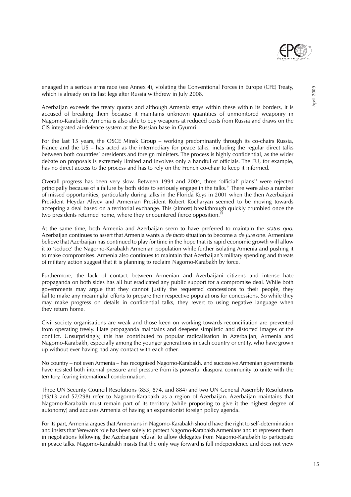

engaged in a serious arms race (see Annex 4), violating the Conventional Forces in Europe (CFE) Treaty, which is already on its last legs after Russia withdrew in July 2008.

Azerbaijan exceeds the treaty quotas and although Armenia stays within these within its borders, it is accused of breaking them because it maintains unknown quantities of unmonitored weaponry in Nagorno-Karabakh. Armenia is also able to buy weapons at reduced costs from Russia and draws on the CIS integrated air-defence system at the Russian base in Gyumri.

For the last 15 years, the OSCE Minsk Group – working predominantly through its co-chairs Russia, France and the US – has acted as the intermediary for peace talks, including the regular direct talks between both countries' presidents and foreign ministers. The process is highly confidential, as the wider debate on proposals is extremely limited and involves only a handful of officials. The EU, for example, has no direct access to the process and has to rely on the French co-chair to keep it informed.

Overall progress has been very slow. Between 1994 and 2004, three 'official' plans<sup>13</sup> were rejected principally because of a failure by both sides to seriously engage in the talks.14 There were also a number of missed opportunities, particularly during talks in the Florida Keys in 2001 when the then Azerbaijani President Heydar Aliyev and Armenian President Robert Kocharyan seemed to be moving towards accepting a deal based on a territorial exchange. This (almost) breakthrough quickly crumbled once the two presidents returned home, where they encountered fierce opposition.<sup>15</sup>

At the same time, both Armenia and Azerbaijan seem to have preferred to maintain the status quo. Azerbaijan continues to assert that Armenia wants a *de facto* situation to become a *de jure* one. Armenians believe that Azerbaijan has continued to play for time in the hope that its rapid economic growth will allow it to 'seduce' the Nagorno-Karabakh Armenian population while further isolating Armenia and pushing it to make compromises. Armenia also continues to maintain that Azerbaijan's military spending and threats of military action suggest that it is planning to reclaim Nagorno-Karabakh by force.

Furthermore, the lack of contact between Armenian and Azerbaijani citizens and intense hate propaganda on both sides has all but eradicated any public support for a compromise deal. While both governments may argue that they cannot justify the requested concessions to their people, they fail to make any meaningful efforts to prepare their respective populations for concessions. So while they may make progress on details in confidential talks, they revert to using negative language when they return home.

Civil society organisations are weak and those keen on working towards reconciliation are prevented from operating freely. Hate propaganda maintains and deepens simplistic and distorted images of the conflict. Unsurprisingly, this has contributed to popular radicalisation in Azerbaijan, Armenia and Nagorno-Karabakh, especially among the younger generations in each country or entity, who have grown up without ever having had any contact with each other.

No country – not even Armenia – has recognised Nagorno-Karabakh, and successive Armenian governments have resisted both internal pressure and pressure from its powerful diaspora community to unite with the territory, fearing international condemnation.

Three UN Security Council Resolutions (853, 874, and 884) and two UN General Assembly Resolutions (49/13 and 57/298) refer to Nagorno-Karabakh as a region of Azerbaijan. Azerbaijan maintains that Nagorno-Karabakh must remain part of its territory (while proposing to give it the highest degree of autonomy) and accuses Armenia of having an expansionist foreign policy agenda.

For its part, Armenia argues that Armenians in Nagorno-Karabakh should have the right to self-determination and insists that Yerevan's role has been solely to protect Nagorno-Karabakh Armenians and to represent them in negotiations following the Azerbaijani refusal to allow delegates from Nagorno-Karabakh to participate in peace talks. Nagorno-Karabakh insists that the only way forward is full independence and does not view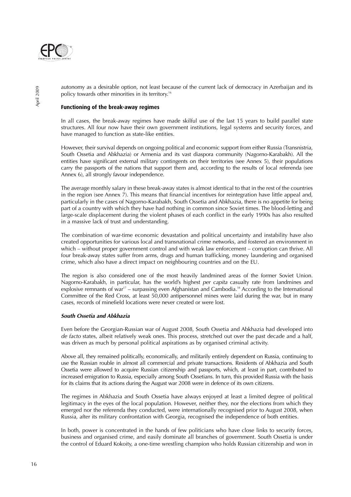

autonomy as a desirable option, not least because of the current lack of democracy in Azerbaijan and its policy towards other minorities in its territory.<sup>16</sup>

#### **Functioning of the break-away regimes**

In all cases, the break-away regimes have made skilful use of the last 15 years to build parallel state structures. All four now have their own government institutions, legal systems and security forces, and have managed to function as state-like entities.

However, their survival depends on ongoing political and economic support from either Russia (Transnistria, South Ossetia and Abkhazia) or Armenia and its vast diaspora community (Nagorno-Karabakh). All the entities have significant external military contingents on their territories (see Annex 5), their populations carry the passports of the nations that support them and, according to the results of local referenda (see Annex 6), all strongly favour independence.

The average monthly salary in these break-away states is almost identical to that in the rest of the countries in the region (see Annex 7). This means that financial incentives for reintegration have little appeal and, particularly in the cases of Nagorno-Karabakh, South Ossetia and Abkhazia, there is no appetite for being part of a country with which they have had nothing in common since Soviet times. The blood-letting and large-scale displacement during the violent phases of each conflict in the early 1990s has also resulted in a massive lack of trust and understanding.

The combination of war-time economic devastation and political uncertainty and instability have also created opportunities for various local and transnational crime networks, and fostered an environment in which – without proper government control and with weak law enforcement – corruption can thrive. All four break-away states suffer from arms, drugs and human trafficking, money laundering and organised crime, which also have a direct impact on neighbouring countries and on the EU.

The region is also considered one of the most heavily landmined areas of the former Soviet Union. Nagorno-Karabakh, in particular, has the world's highest per capita casualty rate from landmines and explosive remnants of war<sup>17</sup> – surpassing even Afghanistan and Cambodia.<sup>18</sup> According to the International Committee of the Red Cross, at least 50,000 antipersonnel mines were laid during the war, but in many cases, records of minefield locations were never created or were lost.

#### **South Ossetia and Abkhazia**

Even before the Georgian-Russian war of August 2008, South Ossetia and Abkhazia had developed into de facto states, albeit relatively weak ones. This process, stretched out over the past decade and a half, was driven as much by personal political aspirations as by organised criminal activity.

Above all, they remained politically, economically, and militarily entirely dependent on Russia, continuing to use the Russian rouble in almost all commercial and private transactions. Residents of Abkhazia and South Ossetia were allowed to acquire Russian citizenship and passports, which, at least in part, contributed to increased emigration to Russia, especially among South Ossetians. In turn, this provided Russia with the basis for its claims that its actions during the August war 2008 were in defence of its own citizens.

The regimes in Abkhazia and South Ossetia have always enjoyed at least a limited degree of political legitimacy in the eyes of the local population. However, neither they, nor the elections from which they emerged nor the referenda they conducted, were internationally recognised prior to August 2008, when Russia, after its military confrontation with Georgia, recognised the independence of both entities.

In both, power is concentrated in the hands of few politicians who have close links to security forces, business and organised crime, and easily dominate all branches of government. South Ossetia is under the control of Eduard Kokoity, a one-time wrestling champion who holds Russian citizenship and won in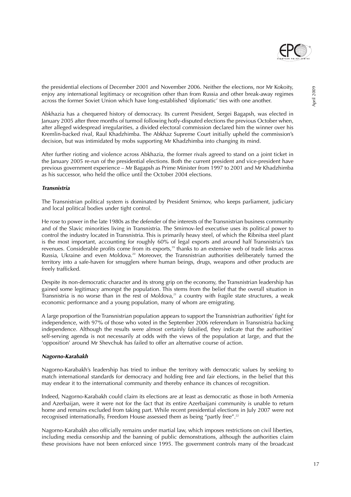

the presidential elections of December 2001 and November 2006. Neither the elections, nor Mr Kokoity, enjoy any international legitimacy or recognition other than from Russia and other break-away regimes across the former Soviet Union which have long-established 'diplomatic' ties with one another.

Abkhazia has a chequered history of democracy. Its current President, Sergei Bagapsh, was elected in January 2005 after three months of turmoil following hotly-disputed elections the previous October when, after alleged widespread irregularities, a divided electoral commission declared him the winner over his Kremlin-backed rival, Raul Khadzhimba. The Abkhaz Supreme Court initially upheld the commission's decision, but was intimidated by mobs supporting Mr Khadzhimba into changing its mind.

After further rioting and violence across Abkhazia, the former rivals agreed to stand on a joint ticket in the January 2005 re-run of the presidential elections. Both the current president and vice-president have previous government experience – Mr Bagapsh as Prime Minister from 1997 to 2001 and Mr Khadzhimba as his successor, who held the office until the October 2004 elections.

#### **Transnistria**

The Transnistrian political system is dominated by President Smirnov, who keeps parliament, judiciary and local political bodies under tight control.

He rose to power in the late 1980s as the defender of the interests of the Transnistrian business community and of the Slavic minorities living in Transnistria. The Smirnov-led executive uses its political power to control the industry located in Transnistria. This is primarily heavy steel, of which the Ribnitsa steel plant is the most important, accounting for roughly 60% of legal exports and around half Transnistria's tax revenues. Considerable profits come from its exports,<sup>19</sup> thanks to an extensive web of trade links across Russia, Ukraine and even Moldova.20 Moreover, the Transnistrian authorities deliberately turned the territory into a safe-haven for smugglers where human beings, drugs, weapons and other products are freely trafficked.

Despite its non-democratic character and its strong grip on the economy, the Transnistrian leadership has gained some legitimacy amongst the population. This stems from the belief that the overall situation in Transnistria is no worse than in the rest of Moldova,<sup>21</sup> a country with fragile state structures, a weak economic performance and a young population, many of whom are emigrating.

A large proportion of the Transnistrian population appears to support the Transnistrian authorities' fight for independence, with 97% of those who voted in the September 2006 referendum in Transnistria backing independence. Although the results were almost certainly falsified, they indicate that the authorities' self-serving agenda is not necessarily at odds with the views of the population at large, and that the 'opposition' around Mr Shevchuk has failed to offer an alternative course of action.

#### **Nagorno-Karabakh**

Nagorno-Karabakh's leadership has tried to imbue the territory with democratic values by seeking to match international standards for democracy and holding free and fair elections, in the belief that this may endear it to the international community and thereby enhance its chances of recognition.

Indeed, Nagorno-Karabakh could claim its elections are at least as democratic as those in both Armenia and Azerbaijan, were it were not for the fact that its entire Azerbaijani community is unable to return home and remains excluded from taking part. While recent presidential elections in July 2007 were not recognised internationally, Freedom House assessed them as being "partly free".<sup>22</sup>

Nagorno-Karabakh also officially remains under martial law, which imposes restrictions on civil liberties, including media censorship and the banning of public demonstrations, although the authorities claim these provisions have not been enforced since 1995. The government controls many of the broadcast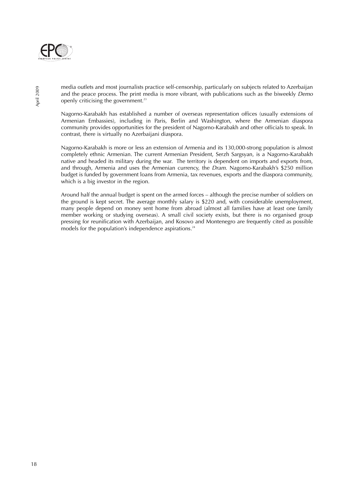

media outlets and most journalists practice self-censorship, particularly on subjects related to Azerbaijan and the peace process. The print media is more vibrant, with publications such as the biweekly Demo openly criticising the government.<sup>23</sup>

Nagorno-Karabakh has established a number of overseas representation offices (usually extensions of Armenian Embassies), including in Paris, Berlin and Washington, where the Armenian diaspora community provides opportunities for the president of Nagorno-Karabakh and other officials to speak. In contrast, there is virtually no Azerbaijani diaspora.

Nagorno-Karabakh is more or less an extension of Armenia and its 130,000-strong population is almost completely ethnic Armenian. The current Armenian President, Serzh Sargsyan, is a Nagorno-Karabakh native and headed its military during the war. The territory is dependent on imports and exports from, and through, Armenia and uses the Armenian currency, the Dram. Nagorno-Karabakh's \$250 million budget is funded by government loans from Armenia, tax revenues, exports and the diaspora community, which is a big investor in the region.

Around half the annual budget is spent on the armed forces – although the precise number of soldiers on the ground is kept secret. The average monthly salary is \$220 and, with considerable unemployment, many people depend on money sent home from abroad (almost all families have at least one family member working or studying overseas). A small civil society exists, but there is no organised group pressing for reunification with Azerbaijan, and Kosovo and Montenegro are frequently cited as possible models for the population's independence aspirations.<sup>24</sup>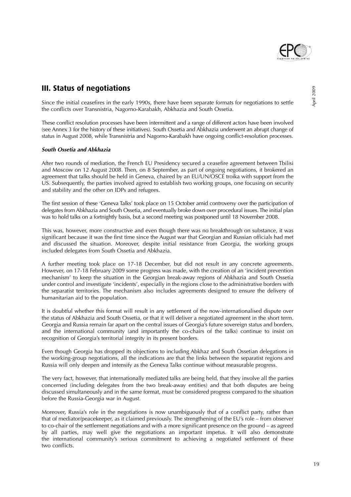

# **III. Status of negotiations**

Since the initial ceasefires in the early 1990s, there have been separate formats for negotiations to settle the conflicts over Transnistria, Nagorno-Karabakh, Abkhazia and South Ossetia.

These conflict resolution processes have been intermittent and a range of different actors have been involved (see Annex 3 for the history of these initiatives). South Ossetia and Abkhazia underwent an abrupt change of status in August 2008, while Transnistria and Nagorno-Karabakh have ongoing conflict-resolution processes.

#### **South Ossetia and Abkhazia**

After two rounds of mediation, the French EU Presidency secured a ceasefire agreement between Tbilisi and Moscow on 12 August 2008. Then, on 8 September, as part of ongoing negotiations, it brokered an agreement that talks should be held in Geneva, chaired by an EU/UN/OSCE troika with support from the US. Subsequently, the parties involved agreed to establish two working groups, one focusing on security and stability and the other on IDPs and refugees.

The first session of these 'Geneva Talks' took place on 15 October amid controversy over the participation of delegates from Abkhazia and South Ossetia, and eventually broke down over procedural issues. The initial plan was to hold talks on a fortnightly basis, but a second meeting was postponed until 18 November 2008.

This was, however, more constructive and even though there was no breakthrough on substance, it was significant because it was the first time since the August war that Georgian and Russian officials had met and discussed the situation. Moreover, despite initial resistance from Georgia, the working groups included delegates from South Ossetia and Abkhazia.

A further meeting took place on 17-18 December, but did not result in any concrete agreements. However, on 17-18 February 2009 some progress was made, with the creation of an 'incident prevention mechanism' to keep the situation in the Georgian break-away regions of Abkhazia and South Ossetia under control and investigate 'incidents', especially in the regions close to the administrative borders with the separatist territories. The mechanism also includes agreements designed to ensure the delivery of humanitarian aid to the population.

It is doubtful whether this format will result in any settlement of the now-internationalised dispute over the status of Abkhazia and South Ossetia, or that it will deliver a negotiated agreement in the short term. Georgia and Russia remain far apart on the central issues of Georgia's future sovereign status and borders, and the international community (and importantly the co-chairs of the talks) continue to insist on recognition of Georgia's territorial integrity in its present borders.

Even though Georgia has dropped its objections to including Abkhaz and South Ossetian delegations in the working-group negotiations, all the indications are that the links between the separatist regions and Russia will only deepen and intensify as the Geneva Talks continue without measurable progress.

The very fact, however, that internationally mediated talks are being held, that they involve all the parties concerned (including delegates from the two break-away entities) and that both disputes are being discussed simultaneously and in the same format, must be considered progress compared to the situation before the Russia-Georgia war in August.

Moreover, Russia's role in the negotiations is now unambiguously that of a conflict party, rather than that of mediator/peacekeeper, as it claimed previously. The strengthening of the EU's role – from observer to co-chair of the settlement negotiations and with a more significant presence on the ground – as agreed by all parties, may well give the negotiations an important impetus. It will also demonstrate the international community's serious commitment to achieving a negotiated settlement of these two conflicts.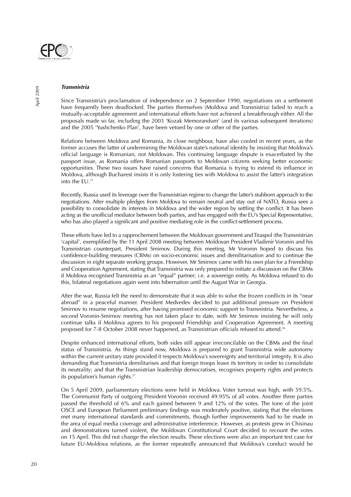

#### **Transnistria**

Since Transnistria's proclamation of independence on 2 September 1990, negotiations on a settlement have frequently been deadlocked. The parties themselves (Moldova and Transnistria) failed to reach a mutually-acceptable agreement and international efforts have not achieved a breakthrough either. All the proposals made so far, including the 2003 'Kozak Memorandum' (and its various subsequent iterations) and the 2005 'Yushchenko Plan', have been vetoed by one or other of the parties.

Relations between Moldova and Romania, its close neighbour, have also cooled in recent years, as the former accuses the latter of undermining the Moldovan state's national identity by insisting that Moldova's official language is Romanian, not Moldovan. This continuing language dispute is exacerbated by the passport issue, as Romania offers Romanian passports to Moldovan citizens seeking better economic opportunities. These two issues have raised concerns that Romania is trying to extend its influence in Moldova, although Bucharest insists it is only fostering ties with Moldova to assist the latter's integration into the EU.25

Recently, Russia used its leverage over the Transnistrian regime to change the latter's stubborn approach to the negotiations. After multiple pledges from Moldova to remain neutral and stay out of NATO, Russia sees a possibility to consolidate its interests in Moldova and the wider region by settling the conflict. It has been acting as the unofficial mediator between both parties, and has engaged with the EU's Special Representative, who has also played a significant and positive mediating role in the conflict-settlement process.

These efforts have led to a rapprochement between the Moldovan government and Tiraspol (the Transnistrian 'capital', exemplified by the 11 April 2008 meeting between Moldovan President Vladimir Voronin and his Transnistrian counterpart, President Smirnov. During this meeting, Mr Voronin hoped to discuss his confidence-building measures (CBMs) on socio-economic issues and demilitarisation and to continue the discussion in eight separate working groups. However, Mr Smirnov came with his own plan for a Friendship and Cooperation Agreement, stating that Transnistria was only prepared to initiate a discussion on the CBMs if Moldova recognised Transnistria as an "equal" partner; i.e. a sovereign entity. As Moldova refused to do this, bilateral negotiations again went into hibernation until the August War in Georgia.

After the war, Russia felt the need to demonstrate that it was able to solve the frozen conflicts in its "near abroad" in a peaceful manner. President Medvedev decided to put additional pressure on President Smirnov to resume negotiations, after having promised economic support to Transnistria. Nevertheless, a second Voronin-Smirnov meeting has not taken place to date, with Mr Smirnov insisting he will only continue talks if Moldova agrees to his proposed Friendship and Cooperation Agreement. A meeting proposed for 7-8 October 2008 never happened, as Transnistrian officials refused to attend.26

Despite enhanced international efforts, both sides still appear irreconcilable on the CBMs and the final status of Transnistria. As things stand now, Moldova is prepared to grant Transnistria wide autonomy within the current unitary state provided it respects Moldova's sovereignty and territorial integrity. It is also demanding that Transnistria demilitarises and that foreign troops leave its territory in order to consolidate its neutrality; and that the Transnistrian leadership democratises, recognises property rights and protects its population's human rights.<sup>27</sup>

On 5 April 2009, parliamentary elections were held in Moldova. Voter turnout was high, with 59.5%. The Communist Party of outgoing President Voronin received 49.95% of all votes. Another three parties passed the threshold of 6% and each gained between 9 and 12% of the votes. The tone of the joint OSCE and European Parliament preliminary findings was moderately positive, stating that the elections met many international standards and commitments, though further improvements had to be made in the area of equal media coverage and administrative interference. However, as protests grew in Chisinau and demonstrations turned violent, the Moldovan Constitutional Court decided to recount the votes on 15 April. This did not change the election results. These elections were also an important test case for future EU-Moldova relations, as the former repeatedly announced that Moldova's conduct would be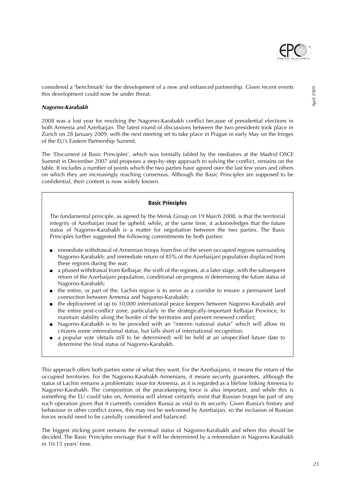

#### **Nagorno-Karabakh**

2008 was a lost year for resolving the Nagorno-Karabakh conflict because of presidential elections in both Armenia and Azerbaijan. The latest round of discussions between the two presidents took place in Zurich on 28 January 2009, with the next meeting set to take place in Prague in early May on the fringes of the EU's Eastern Partnership Summit.

The 'Document of Basic Principles', which was formally tabled by the mediators at the Madrid OSCE Summit in December 2007 and proposes a step-by-step approach to solving the conflict, remains on the table. It includes a number of points which the two parties have agreed over the last few years and others on which they are increasingly reaching consensus. Although the Basic Principles are supposed to be confidential, their content is now widely known.

#### **Basic Principles**

The fundamental principle, as agreed by the Minsk Group on 19 March 2008, is that the territorial integrity of Azerbaijan must be upheld, while, at the same time, it acknowledges that the future status of Nagorno-Karabakh is a matter for negotiation between the two parties. The Basic Principles further suggested the following commitments by both parties:

- immediate withdrawal of Armenian troops from five of the seven occupied regions surrounding Nagorno-Karabakh; and immediate return of 85% of the Azerbaijani population displaced from these regions during the war;
- a phased withdrawal from Kelbajar, the sixth of the regions, at a later stage, with the subsequent return of the Azerbaijani population, conditional on progress in determining the future status of Nagorno-Karabakh;
- the entire, or part of the, Lachin region is to serve as a corridor to ensure a permanent land connection between Armenia and Nagorno-Karabakh;
- the deployment of up to 10,000 international peace keepers between Nagorno-Karabakh and the entire post-conflict zone, particularly in the strategically-important Kelbajar Province, to maintain stability along the border of the territories and prevent renewed conflict;
- Nagorno-Karabakh is to be provided with an "interim national status" which will allow its citizens some international status, but falls short of international recognition;
- a popular vote (details still to be determined) will be held at an unspecified future date to determine the final status of Nagorno-Karabakh.

This approach offers both parties some of what they want. For the Azerbaijanis, it means the return of the occupied territories. For the Nagorno-Karabakh Armenians, it means security guarantees, although the status of Lachin remains a problematic issue for Armenia, as it is regarded as a lifeline linking Armenia to Nagorno-Karabakh. The composition of the peacekeeping force is also important, and while this is something the EU could take on, Armenia will almost certainly insist that Russian troops be part of any such operation given that it currently considers Russia as vital to its security. Given Russia's history and behaviour in other conflict zones, this may not be welcomed by Azerbaijan, so the inclusion of Russian forces would need to be carefully considered and balanced.

The biggest sticking point remains the eventual status of Nagorno-Karabakh and when this should be decided. The Basic Principles envisage that it will be determined by a referendum in Nagorno-Karabakh in 10-15 years' time.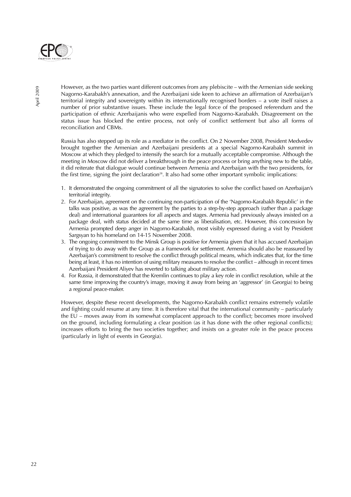

However, as the two parties want different outcomes from any plebiscite – with the Armenian side seeking Nagorno-Karabakh's annexation, and the Azerbaijani side keen to achieve an affirmation of Azerbaijan's territorial integrity and sovereignty within its internationally recognised borders – a vote itself raises a number of prior substantive issues. These include the legal force of the proposed referendum and the participation of ethnic Azerbaijanis who were expelled from Nagorno-Karabakh. Disagreement on the status issue has blocked the entire process, not only of conflict settlement but also all forms of reconciliation and CBMs.

Russia has also stepped up its role as a mediator in the conflict. On 2 November 2008, President Medvedev brought together the Armenian and Azerbaijani presidents at a special Nagorno-Karabakh summit in Moscow at which they pledged to intensify the search for a mutually acceptable compromise. Although the meeting in Moscow did not deliver a breakthrough in the peace process or bring anything new to the table, it did reiterate that dialogue would continue between Armenia and Azerbaijan with the two presidents, for the first time, signing the joint declaration $28$ . It also had some other important symbolic implications:

- 1. It demonstrated the ongoing commitment of all the signatories to solve the conflict based on Azerbaijan's territorial integrity.
- 2. For Azerbaijan, agreement on the continuing non-participation of the 'Nagorno-Karabakh Republic' in the talks was positive, as was the agreement by the parties to a step-by-step approach (rather than a package deal) and international guarantees for all aspects and stages. Armenia had previously always insisted on a package deal, with status decided at the same time as liberalisation, etc. However, this concession by Armenia prompted deep anger in Nagorno-Karabakh, most visibly expressed during a visit by President Sargsyan to his homeland on 14-15 November 2008.
- 3. The ongoing commitment to the Minsk Group is positive for Armenia given that it has accused Azerbaijan of trying to do away with the Group as a framework for settlement. Armenia should also be reassured by Azerbaijan's commitment to resolve the conflict through political means, which indicates that, for the time being at least, it has no intention of using military measures to resolve the conflict – although in recent times Azerbaijani President Aliyev has reverted to talking about military action.
- 4. For Russia, it demonstrated that the Kremlin continues to play a key role in conflict resolution, while at the same time improving the country's image, moving it away from being an 'aggressor' (in Georgia) to being a regional peace-maker.

However, despite these recent developments, the Nagorno-Karabakh conflict remains extremely volatile and fighting could resume at any time. It is therefore vital that the international community – particularly the EU – moves away from its somewhat complacent approach to the conflict; becomes more involved on the ground, including formulating a clear position (as it has done with the other regional conflicts); increases efforts to bring the two societies together; and insists on a greater role in the peace process (particularly in light of events in Georgia).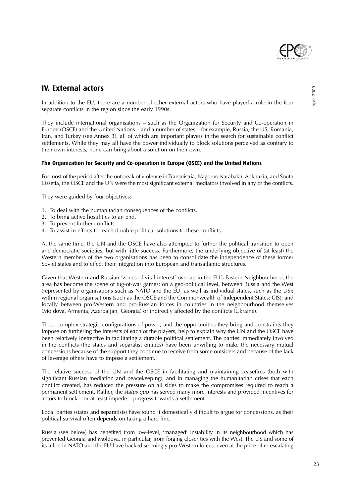

## **IV. External actors**

In addition to the EU, there are a number of other external actors who have played a role in the four separate conflicts in the region since the early 1990s.

They include international organisations – such as the Organization for Security and Co-operation in Europe (OSCE) and the United Nations – and a number of states – for example, Russia, the US, Romania, Iran, and Turkey (see Annex 3), all of which are important players in the search for sustainable conflict settlements. While they may all have the power individually to block solutions perceived as contrary to their own interests, none can bring about a solution on their own.

#### **The Organization for Security and Co-operation in Europe (OSCE) and the United Nations**

For most of the period after the outbreak of violence in Transnistria, Nagorno-Karabakh, Abkhazia, and South Ossetia, the OSCE and the UN were the most significant external mediators involved in any of the conflicts.

They were guided by four objectives:

- 1. To deal with the humanitarian consequences of the conflicts.
- 2. To bring active hostilities to an end.
- 3. To prevent further conflicts.
- 4. To assist in efforts to reach durable political solutions to these conflicts.

At the same time, the UN and the OSCE have also attempted to further the political transition to open and democratic societies, but with little success. Furthermore, the underlying objective of (at least) the Western members of the two organisations has been to consolidate the independence of these former Soviet states and to effect their integration into European and transatlantic structures.

Given that Western and Russian 'zones of vital interest' overlap in the EU's Eastern Neighbourhood, the area has become the scene of tug-of-war games: on a geo-political level, between Russia and the West (represented by organisations such as NATO and the EU, as well as individual states, such as the US); within regional organisations (such as the OSCE and the Commonwealth of Independent States: CIS); and locally between pro-Western and pro-Russian forces in countries in the neighbourhood themselves (Moldova, Armenia, Azerbaijan, Georgia) or indirectly affected by the conflicts (Ukraine).

These complex strategic configurations of power, and the opportunities they bring and constraints they impose on furthering the interests of each of the players, help to explain why the UN and the OSCE have been relatively ineffective in facilitating a durable political settlement. The parties immediately involved in the conflicts (the states and separatist entities) have been unwilling to make the necessary mutual concessions because of the support they continue to receive from some outsiders and because of the lack of leverage others have to impose a settlement.

The relative success of the UN and the OSCE in facilitating and maintaining ceasefires (both with significant Russian mediation and peacekeeping), and in managing the humanitarian crises that each conflict created, has reduced the pressure on all sides to make the compromises required to reach a permanent settlement. Rather, the *status quo* has served many more interests and provided incentives for actors to block – or at least impede – progress towards a settlement.

Local parties (states and separatists) have found it domestically difficult to argue for concessions, as their political survival often depends on taking a hard line.

Russia (see below) has benefited from low-level, 'managed' instability in its neighbourhood which has prevented Georgia and Moldova, in particular, from forging closer ties with the West. The US and some of its allies in NATO and the EU have backed seemingly pro-Western forces, even at the price of re-escalating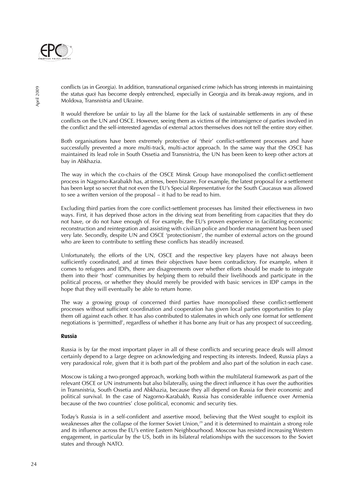

conflicts (as in Georgia). In addition, transnational organised crime (which has strong interests in maintaining the status quo) has become deeply entrenched, especially in Georgia and its break-away regions, and in Moldova, Transnistria and Ukraine.

It would therefore be unfair to lay all the blame for the lack of sustainable settlements in any of these conflicts on the UN and OSCE. However, seeing them as victims of the intransigence of parties involved in the conflict and the self-interested agendas of external actors themselves does not tell the entire story either.

Both organisations have been extremely protective of 'their' conflict-settlement processes and have successfully prevented a more multi-track, multi-actor approach. In the same way that the OSCE has maintained its lead role in South Ossetia and Transnistria, the UN has been keen to keep other actors at bay in Abkhazia.

The way in which the co-chairs of the OSCE Minsk Group have monopolised the conflict-settlement process in Nagorno-Karabakh has, at times, been bizarre. For example, the latest proposal for a settlement has been kept so secret that not even the EU's Special Representative for the South Caucasus was allowed to see a written version of the proposal – it had to be read to him.

Excluding third parties from the core conflict-settlement processes has limited their effectiveness in two ways. First, it has deprived those actors in the driving seat from benefiting from capacities that they do not have, or do not have enough of. For example, the EU's proven experience in facilitating economic reconstruction and reintegration and assisting with civilian police and border management has been used very late. Secondly, despite UN and OSCE 'protectionism', the number of external actors on the ground who are keen to contribute to settling these conflicts has steadily increased.

Unfortunately, the efforts of the UN, OSCE and the respective key players have not always been sufficiently coordinated, and at times their objectives have been contradictory. For example, when it comes to refugees and IDPs, there are disagreements over whether efforts should be made to integrate them into their 'host' communities by helping them to rebuild their livelihoods and participate in the political process, or whether they should merely be provided with basic services in IDP camps in the hope that they will eventually be able to return home.

The way a growing group of concerned third parties have monopolised these conflict-settlement processes without sufficient coordination and cooperation has given local parties opportunities to play them off against each other. It has also contributed to stalemates in which only one format for settlement negotiations is 'permitted', regardless of whether it has borne any fruit or has any prospect of succeeding.

#### **Russia**

Russia is by far the most important player in all of these conflicts and securing peace deals will almost certainly depend to a large degree on acknowledging and respecting its interests. Indeed, Russia plays a very paradoxical role, given that it is both part of the problem and also part of the solution in each case.

Moscow is taking a two-pronged approach, working both within the multilateral framework as part of the relevant OSCE or UN instruments but also bilaterally, using the direct influence it has over the authorities in Transnistria, South Ossetia and Abkhazia, because they all depend on Russia for their economic and political survival. In the case of Nagorno-Karabakh, Russia has considerable influence over Armenia because of the two countries' close political, economic and security ties.

Today's Russia is in a self-confident and assertive mood, believing that the West sought to exploit its weaknesses after the collapse of the former Soviet Union,<sup>29</sup> and it is determined to maintain a strong role and its influence across the EU's entire Eastern Neighbourhood. Moscow has resisted increasing Western engagement, in particular by the US, both in its bilateral relationships with the successors to the Soviet states and through NATO.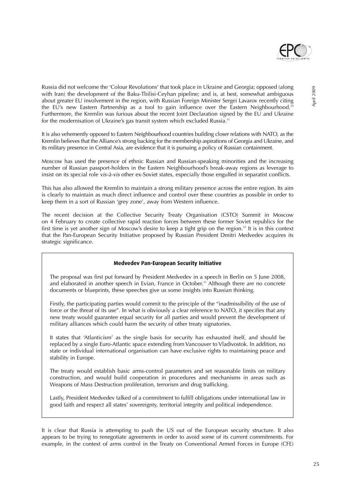

Russia did not welcome the 'Colour Revolutions' that took place in Ukraine and Georgia; opposed (along with Iran) the development of the Baku-Tbilisi-Ceyhan pipeline; and is, at best, somewhat ambiguous about greater EU involvement in the region, with Russian Foreign Minister Sergei Lavarov recently citing the EU's new Eastern Partnership as a tool to gain influence over the Eastern Neighbourhood.<sup>30</sup> Furthermore, the Kremlin was furious about the recent Joint Declaration signed by the EU and Ukraine for the modernisation of Ukraine's gas transit system which excluded Russia.<sup>31</sup>

It is also vehemently opposed to Eastern Neighbourhood countries building closer relations with NATO, as the Kremlin believes that the Alliance's strong backing for the membership aspirations of Georgia and Ukraine, and its military presence in Central Asia, are evidence that it is pursuing a policy of Russian containment.

Moscow has used the presence of ethnic Russian and Russian-speaking minorities and the increasing number of Russian passport-holders in the Eastern Neighbourhood's break-away regions as leverage to insist on its special role vis-à-vis other ex-Soviet states, especially those engulfed in separatist conflicts.

This has also allowed the Kremlin to maintain a strong military presence across the entire region. Its aim is clearly to maintain as much direct influence and control over these countries as possible in order to keep them in a sort of Russian 'grey zone', away from Western influence.

The recent decision at the Collective Security Treaty Organisation (CSTO) Summit in Moscow on 4 February to create collective rapid reaction forces between these former Soviet republics for the first time is yet another sign of Moscow's desire to keep a tight grip on the region.<sup>32</sup> It is in this context that the Pan-European Security Initiative proposed by Russian President Dmitri Medvedev acquires its strategic significance.

#### **Medvedev Pan-European Security Initiative**

The proposal was first put forward by President Medvedev in a speech in Berlin on 5 June 2008, and elaborated in another speech in Evian, France in October.<sup>33</sup> Although there are no concrete documents or blueprints, these speeches give us some insights into Russian thinking.

Firstly, the participating parties would commit to the principle of the "inadmissibility of the use of force or the threat of its use". In what is obviously a clear reference to NATO, it specifies that any new treaty would guarantee equal security for all parties and would prevent the development of military alliances which could harm the security of other treaty signatories.

It states that 'Atlanticism' as the single basis for security has exhausted itself, and should be replaced by a single Euro-Atlantic space extending from Vancouver to Vladivostok. In addition, no state or individual international organisation can have exclusive rights to maintaining peace and stability in Europe.

The treaty would establish basic arms-control parameters and set reasonable limits on military construction, and would build cooperation in procedures and mechanisms in areas such as Weapons of Mass Destruction proliferation, terrorism and drug trafficking.

Lastly, President Medvedev talked of a commitment to fulfill obligations under international law in good faith and respect all states' sovereignty, territorial integrity and political independence.

It is clear that Russia is attempting to push the US out of the European security structure. It also appears to be trying to renegotiate agreements in order to avoid some of its current commitments. For example, in the context of arms control in the Treaty on Conventional Armed Forces in Europe (CFE)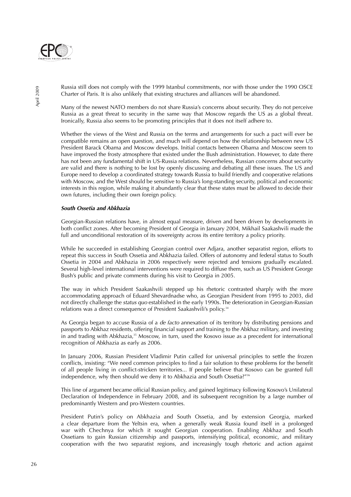

Russia still does not comply with the 1999 Istanbul commitments, nor with those under the 1990 OSCE Charter of Paris. It is also unlikely that existing structures and alliances will be abandoned.

Many of the newest NATO members do not share Russia's concerns about security. They do not perceive Russia as a great threat to security in the same way that Moscow regards the US as a global threat. Ironically, Russia also seems to be promoting principles that it does not itself adhere to.

Whether the views of the West and Russia on the terms and arrangements for such a pact will ever be compatible remains an open question, and much will depend on how the relationship between new US President Barack Obama and Moscow develops. Initial contacts between Obama and Moscow seem to have improved the frosty atmosphere that existed under the Bush administration. However, to date there has not been any fundamental shift in US-Russia relations. Nevertheless, Russian concerns about security are valid and there is nothing to be lost by openly discussing and debating all these issues. The US and Europe need to develop a coordinated strategy towards Russia to build friendly and cooperative relations with Moscow, and the West should be sensitive to Russia's long-standing security, political and economic interests in this region, while making it abundantly clear that these states must be allowed to decide their own futures, including their own foreign policy.

#### **South Ossetia and Abkhazia**

Georgian-Russian relations have, in almost equal measure, driven and been driven by developments in both conflict zones. After becoming President of Georgia in January 2004, Mikhail Saakashvili made the full and unconditional restoration of its sovereignty across its entire territory a policy priority.

While he succeeded in establishing Georgian control over Adjara, another separatist region, efforts to repeat this success in South Ossetia and Abkhazia failed. Offers of autonomy and federal status to South Ossetia in 2004 and Abkhazia in 2006 respectively were rejected and tensions gradually escalated. Several high-level international interventions were required to diffuse them, such as US President George Bush's public and private comments during his visit to Georgia in 2005.

The way in which President Saakashvili stepped up his rhetoric contrasted sharply with the more accommodating approach of Eduard Shevardnadse who, as Georgian President from 1995 to 2003, did not directly challenge the status quo established in the early 1990s. The deterioration in Georgian-Russian relations was a direct consequence of President Saakashvili's policy.34

As Georgia began to accuse Russia of a *de facto* annexation of its territory by distributing pensions and passports to Abkhaz residents, offering financial support and training to the Abkhaz military, and investing in and trading with Abkhazia,<sup>35</sup> Moscow, in turn, used the Kosovo issue as a precedent for international recognition of Abkhazia as early as 2006.

In January 2006, Russian President Vladimir Putin called for universal principles to settle the frozen conflicts, insisting: "We need common principles to find a fair solution to these problems for the benefit of all people living in conflict-stricken territories... If people believe that Kosovo can be granted full independence, why then should we deny it to Abkhazia and South Ossetia?"36

This line of argument became official Russian policy, and gained legitimacy following Kosovo's Unilateral Declaration of Independence in February 2008, and its subsequent recognition by a large number of predominantly Western and pro-Western countries.

President Putin's policy on Abkhazia and South Ossetia, and by extension Georgia, marked a clear departure from the Yeltsin era, when a generally weak Russia found itself in a prolonged war with Chechnya for which it sought Georgian cooperation. Enabling Abkhaz and South Ossetians to gain Russian citizenship and passports, intensifying political, economic, and military cooperation with the two separatist regions, and increasingly tough rhetoric and action against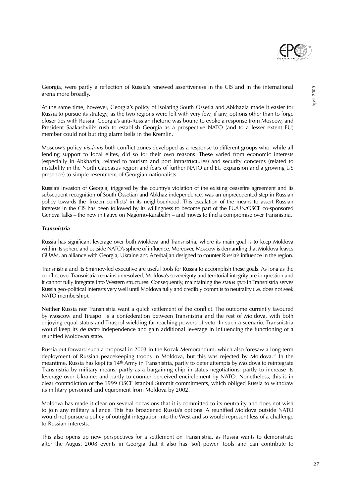

At the same time, however, Georgia's policy of isolating South Ossetia and Abkhazia made it easier for Russia to pursue its strategy, as the two regions were left with very few, if any, options other than to forge closer ties with Russia. Georgia's anti-Russian rhetoric was bound to evoke a response from Moscow, and President Saakashvili's rush to establish Georgia as a prospective NATO (and to a lesser extent EU) member could not but ring alarm bells in the Kremlin.

Moscow's policy vis-à-vis both conflict zones developed as a response to different groups who, while all lending support to local elites, did so for their own reasons. These varied from economic interests (especially in Abkhazia, related to tourism and port infrastructures) and security concerns (related to instability in the North Caucasus region and fears of further NATO and EU expansion and a growing US presence) to simple resentment of Georgian nationalists.

Russia's invasion of Georgia, triggered by the country's violation of the existing ceasefire agreement and its subsequent recognition of South Ossetian and Abkhaz independence, was an unprecedented step in Russian policy towards the 'frozen conflicts' in its neighbourhood. This escalation of the means to assert Russian interests in the CIS has been followed by its willingness to become part of the EU/UN/OSCE co-sponsored Geneva Talks – the new initiative on Nagorno-Karabakh – and moves to find a compromise over Transnistria.

#### **Transnistria**

Russia has significant leverage over both Moldova and Transnistria, where its main goal is to keep Moldova within its sphere and outside NATO's sphere of influence. Moreover, Moscow is demanding that Moldova leaves GUAM, an alliance with Georgia, Ukraine and Azerbaijan designed to counter Russia's influence in the region.

Transnistria and its Smirnov-led executive are useful tools for Russia to accomplish these goals. As long as the conflict over Transnistria remains unresolved, Moldova's sovereignty and territorial integrity are in question and it cannot fully integrate into Western structures. Consequently, maintaining the status quo in Transnistria serves Russia geo-political interests very well until Moldova fully and credibly commits to neutrality (i.e. does not seek NATO membership).

Neither Russia nor Transnistria want a quick settlement of the conflict. The outcome currently favoured by Moscow and Tiraspol is a confederation between Transnistria and the rest of Moldova, with both enjoying equal status and Tiraspol wielding far-reaching powers of veto. In such a scenario, Transnistria would keep its *de facto* independence and gain additional leverage in influencing the functioning of a reunified Moldovan state.

Russia put forward such a proposal in 2003 in the Kozak Memorandum, which also foresaw a long-term deployment of Russian peacekeeping troops in Moldova, but this was rejected by Moldova.<sup>37</sup> In the meantime, Russia has kept its 14th Army in Transnistria, partly to deter attempts by Moldova to reintegrate Transnistria by military means; partly as a bargaining chip in status negotiations; partly to increase its leverage over Ukraine; and partly to counter perceived encirclement by NATO. Nonetheless, this is in clear contradiction of the 1999 OSCE Istanbul Summit commitments, which obliged Russia to withdraw its military personnel and equipment from Moldova by 2002.

Moldova has made it clear on several occasions that it is committed to its neutrality and does not wish to join any military alliance. This has broadened Russia's options. A reunified Moldova outside NATO would not pursue a policy of outright integration into the West and so would represent less of a challenge to Russian interests

This also opens up new perspectives for a settlement on Transnistria, as Russia wants to demonstrate after the August 2008 events in Georgia that it also has 'soft power' tools and can contribute to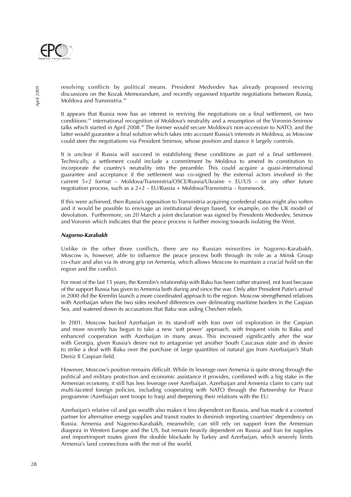

resolving conflicts by political means. President Medvedev has already proposed reviving discussions on the Kozak Memorandum, and recently organised tripartite negotiations between Russia, Moldova and Transnistria.<sup>38</sup>

It appears that Russia now has an interest in reviving the negotiations on a final settlement, on two conditions:39 international recognition of Moldova's neutrality and a resumption of the Voronin-Smirnov talks which started in April 2008.40 The former would secure Moldova's non-accession to NATO, and the latter would guarantee a final solution which takes into account Russia's interests in Moldova, as Moscow could steer the negotiations via President Smirnov, whose position and stance it largely controls.

It is unclear if Russia will succeed in establishing these conditions as part of a final settlement. Technically, a settlement could include a commitment by Moldova to amend its constitution to incorporate the country's neutrality into the preamble. This could acquire a quasi-international guarantee and acceptance if the settlement was co-signed by the external actors involved in the current 5+2 format – Moldova/Transnistria/OSCE/Russia/Ukraine + EU/US – or any other future negotiation process, such as a  $2+2$  – EU/Russia + Moldova/Transnistria – framework.

If this were achieved, then Russia's opposition to Transnistria acquiring confederal status might also soften and it would be possible to envisage an institutional design based, for example, on the UK model of devolution. Furthermore, on 20 March a joint declaration was signed by Presidents Medvedev, Smirnov and Voronin which indicates that the peace process is further moving towards isolating the West.

#### **Nagorno-Karabakh**

Unlike in the other three conflicts, there are no Russian minorities in Nagorno-Karabakh. Moscow is, however, able to influence the peace process both through its role as a Minsk Group co-chair and also via its strong grip on Armenia, which allows Moscow to maintain a crucial hold on the region and the conflict.

For most of the last 15 years, the Kremlin's relationship with Baku has been rather strained, not least because of the support Russia has given to Armenia both during and since the war. Only after President Putin's arrival in 2000 did the Kremlin launch a more coordinated approach to the region. Moscow strengthened relations with Azerbaijan when the two sides resolved differences over delineating maritime borders in the Caspian Sea, and watered down its accusations that Baku was aiding Chechen rebels.

In 2001, Moscow backed Azerbaijan in its stand-off with Iran over oil exploration in the Caspian and more recently has begun to take a new 'soft power' approach, with frequent visits to Baku and enhanced cooperation with Azerbaijan in many areas. This increased significantly after the war with Georgia, given Russia's desire not to antagonise yet another South Caucasus state and its desire to strike a deal with Baku over the purchase of large quantities of natural gas from Azerbaijan's Shah Deniz II Caspian field.

However, Moscow's position remains difficult. While its leverage over Armenia is quite strong through the political and military protection and economic assistance it provides, combined with a big stake in the Armenian economy, it still has less leverage over Azerbaijan. Azerbaijan and Armenia claim to carry out multi-faceted foreign policies, including cooperating with NATO through the Partnership for Peace programme (Azerbiajan sent troops to Iraq) and deepening their relations with the EU.

Azerbaijan's relative oil and gas wealth also makes it less dependent on Russia, and has made it a coveted partner for alternative energy supplies and transit routes to diminish importing countries' dependency on Russia. Armenia and Nagorno-Karabakh, meanwhile, can still rely on support from the Armenian diaspora in Western Europe and the US, but remain heavily dependent on Russia and Iran for supplies and import/export routes given the double blockade by Turkey and Azerbaijan, which severely limits Armenia's land connections with the rest of the world.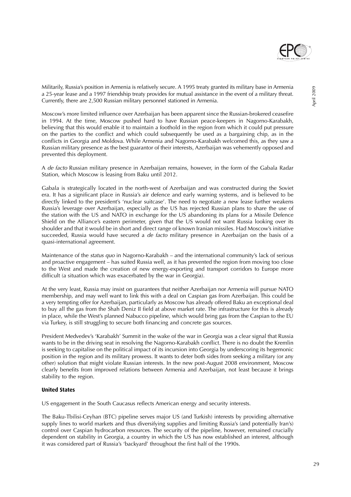

Militarily, Russia's position in Armenia is relatively secure. A 1995 treaty granted its military base in Armenia a 25-year lease and a 1997 friendship treaty provides for mutual assistance in the event of a military threat. Currently, there are 2,500 Russian military personnel stationed in Armenia.

Moscow's more limited influence over Azerbaijan has been apparent since the Russian-brokered ceasefire in 1994. At the time, Moscow pushed hard to have Russian peace-keepers in Nagorno-Karabakh, believing that this would enable it to maintain a foothold in the region from which it could put pressure on the parties to the conflict and which could subsequently be used as a bargaining chip, as in the conflicts in Georgia and Moldova. While Armenia and Nagorno-Karabakh welcomed this, as they saw a Russian military presence as the best guarantor of their interests, Azerbaijan was vehemently opposed and prevented this deployment.

A de facto Russian military presence in Azerbaijan remains, however, in the form of the Gabala Radar Station, which Moscow is leasing from Baku until 2012.

Gabala is strategically located in the north-west of Azerbaijan and was constructed during the Soviet era. It has a significant place in Russia's air defence and early warning systems, and is believed to be directly linked to the president's 'nuclear suitcase'. The need to negotiate a new lease further weakens Russia's leverage over Azerbaijan, especially as the US has rejected Russian plans to share the use of the station with the US and NATO in exchange for the US abandoning its plans for a Missile Defence Shield on the Alliance's eastern perimeter, given that the US would not want Russia looking over its shoulder and that it would be in short and direct range of known Iranian missiles. Had Moscow's initiative succeeded, Russia would have secured a *de facto* military presence in Azerbaijan on the basis of a quasi-international agreement.

Maintenance of the status quo in Nagorno-Karabakh – and the international community's lack of serious and proactive engagement – has suited Russia well, as it has prevented the region from moving too close to the West and made the creation of new energy-exporting and transport corridors to Europe more difficult (a situation which was exacerbated by the war in Georgia).

At the very least, Russia may insist on guarantees that neither Azerbaijan nor Armenia will pursue NATO membership, and may well want to link this with a deal on Caspian gas from Azerbaijan. This could be a very tempting offer for Azerbaijan, particularly as Moscow has already offered Baku an exceptional deal to buy all the gas from the Shah Deniz II field at above market rate. The infrastructure for this is already in place, while the West's planned Nabucco pipeline, which would bring gas from the Caspian to the EU via Turkey, is still struggling to secure both financing and concrete gas sources.

President Medvedev's 'Karabakh' Summit in the wake of the war in Georgia was a clear signal that Russia wants to be in the driving seat in resolving the Nagorno-Karabakh conflict. There is no doubt the Kremlin is seeking to capitalise on the political impact of its incursion into Georgia by underscoring its hegemonic position in the region and its military prowess. It wants to deter both sides from seeking a military (or any other) solution that might violate Russian interests. In the new post-August 2008 environment, Moscow clearly benefits from improved relations between Armenia and Azerbaijan, not least because it brings stability to the region.

#### **United States**

US engagement in the South Caucasus reflects American energy and security interests.

The Baku-Tbilisi-Ceyhan (BTC) pipeline serves major US (and Turkish) interests by providing alternative supply lines to world markets and thus diversifying supplies and limiting Russia's (and potentially Iran's) control over Caspian hydrocarbon resources. The security of the pipeline, however, remained crucially dependent on stability in Georgia, a country in which the US has now established an interest, although it was considered part of Russia's 'backyard' throughout the first half of the 1990s.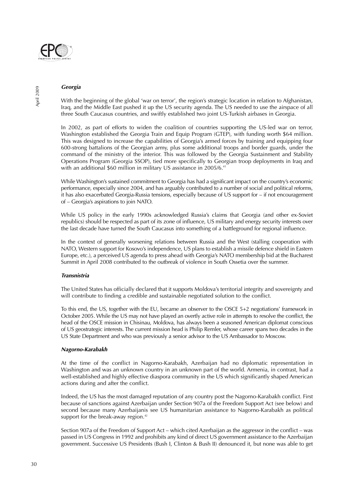

#### **Georgia**

With the beginning of the global 'war on terror', the region's strategic location in relation to Afghanistan, Iraq, and the Middle East pushed it up the US security agenda. The US needed to use the airspace of all three South Caucasus countries, and swiftly established two joint US-Turkish airbases in Georgia.

In 2002, as part of efforts to widen the coalition of countries supporting the US-led war on terror, Washington established the Georgia Train and Equip Program (GTEP), with funding worth \$64 million. This was designed to increase the capabilities of Georgia's armed forces by training and equipping four 600-strong battalions of the Georgian army, plus some additional troops and border guards, under the command of the ministry of the interior. This was followed by the Georgia Sustainment and Stability Operations Program (Georgia SSOP), tied more specifically to Georgian troop deployments in Iraq and with an additional \$60 million in military US assistance in 2005/6.<sup>41</sup>

While Washington's sustained commitment to Georgia has had a significant impact on the country's economic performance, especially since 2004, and has arguably contributed to a number of social and political reforms, it has also exacerbated Georgia-Russia tensions, especially because of US support for – if not encouragement of – Georgia's aspirations to join NATO.

While US policy in the early 1990s acknowledged Russia's claims that Georgia (and other ex-Soviet republics) should be respected as part of its zone of influence, US military and energy security interests over the last decade have turned the South Caucasus into something of a battleground for regional influence.

In the context of generally worsening relations between Russia and the West (stalling cooperation with NATO, Western support for Kosovo's independence, US plans to establish a missile defence shield in Eastern Europe, etc.), a perceived US agenda to press ahead with Georgia's NATO membership bid at the Bucharest Summit in April 2008 contributed to the outbreak of violence in South Ossetia over the summer.

#### **Transnistria**

The United States has officially declared that it supports Moldova's territorial integrity and sovereignty and will contribute to finding a credible and sustainable negotiated solution to the conflict.

To this end, the US, together with the EU, became an observer to the OSCE 5+2 negotiations' framework in October 2005. While the US may not have played an overtly active role in attempts to resolve the conflict, the head of the OSCE mission in Chisinau, Moldova, has always been a seasoned American diplomat conscious of US geostrategic interests. The current mission head is Philip Remler, whose career spans two decades in the US State Department and who was previously a senior advisor to the US Ambassador to Moscow.

#### **Nagorno-Karabakh**

At the time of the conflict in Nagorno-Karabakh, Azerbaijan had no diplomatic representation in Washington and was an unknown country in an unknown part of the world. Armenia, in contrast, had a well-established and highly effective diaspora community in the US which significantly shaped American actions during and after the conflict.

Indeed, the US has the most damaged reputation of any country post the Nagorno-Karabakh conflict. First because of sanctions against Azerbaijan under Section 907a of the Freedom Support Act (see below) and second because many Azerbaijanis see US humanitarian assistance to Nagorno-Karabakh as political support for the break-away region.<sup>42</sup>

Section 907a of the Freedom of Support Act – which cited Azerbaijan as the aggressor in the conflict – was passed in US Congress in 1992 and prohibits any kind of direct US government assistance to the Azerbaijan government. Successive US Presidents (Bush I, Clinton & Bush II) denounced it, but none was able to get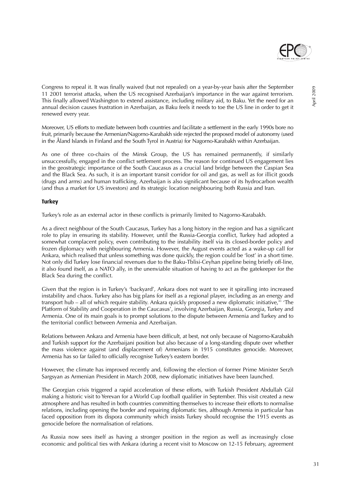

Congress to repeal it. It was finally waived (but not repealed) on a year-by-year basis after the September 11 2001 terrorist attacks, when the US recognised Azerbaijan's importance in the war against terrorism. This finally allowed Washington to extend assistance, including military aid, to Baku. Yet the need for an annual decision causes frustration in Azerbaijan, as Baku feels it needs to toe the US line in order to get it renewed every year.

Moreover, US efforts to mediate between both countries and facilitate a settlement in the early 1990s bore no fruit, primarily because the Armenian/Nagorno-Karabakh side rejected the proposed model of autonomy (used in the Åland Islands in Finland and the South Tyrol in Austria) for Nagorno-Karabakh within Azerbaijan.

As one of three co-chairs of the Minsk Group, the US has remained permanently, if similarly unsuccessfully, engaged in the conflict settlement process. The reason for continued US engagement lies in the geostrategic importance of the South Caucasus as a crucial land bridge between the Caspian Sea and the Black Sea. As such, it is an important transit corridor for oil and gas, as well as for illicit goods (drugs and arms) and human trafficking. Azerbaijan is also significant because of its hydrocarbon wealth (and thus a market for US investors) and its strategic location neighbouring both Russia and Iran.

#### **Turkey**

Turkey's role as an external actor in these conflicts is primarily limited to Nagorno-Karabakh.

As a direct neighbour of the South Caucasus, Turkey has a long history in the region and has a significant role to play in ensuring its stability. However, until the Russia-Georgia conflict, Turkey had adopted a somewhat complacent policy, even contributing to the instability itself via its closed-border policy and frozen diplomacy with neighbouring Armenia. However, the August events acted as a wake-up call for Ankara, which realised that unless something was done quickly, the region could be 'lost' in a short time. Not only did Turkey lose financial revenues due to the Baku-Tblisi-Ceyhan pipeline being briefly off-line, it also found itself, as a NATO ally, in the unenviable situation of having to act as the gatekeeper for the Black Sea during the conflict.

Given that the region is in Turkey's 'backyard', Ankara does not want to see it spiralling into increased instability and chaos. Turkey also has big plans for itself as a regional player, including as an energy and transport hub – all of which require stability. Ankara quickly proposed a new diplomatic initiative, $\frac{1}{4}$  The Platform of Stability and Cooperation in the Caucasus', involving Azerbaijan, Russia, Georgia, Turkey and Armenia. One of its main goals is to prompt solutions to the dispute between Armenia and Turkey and to the territorial conflict between Armenia and Azerbaijan.

Relations between Ankara and Armenia have been difficult, at best, not only because of Nagorno-Karabakh and Turkish support for the Azerbaijani position but also because of a long-standing dispute over whether the mass violence against (and displacement of) Armenians in 1915 constitutes genocide. Moreover, Armenia has so far failed to officially recognise Turkey's eastern border.

However, the climate has improved recently and, following the election of former Prime Minister Serzh Sargsyan as Armenian President in March 2008, new diplomatic initiatives have been launched.

The Georgian crisis triggered a rapid acceleration of these efforts, with Turkish President Abdullah Gül making a historic visit to Yerevan for a World Cup football qualifier in September. This visit created a new atmosphere and has resulted in both countries committing themselves to increase their efforts to normalise relations, including opening the border and repairing diplomatic ties, although Armenia in particular has faced opposition from its dispora community which insists Turkey should recognise the 1915 events as genocide before the normalisation of relations.

As Russia now sees itself as having a stronger position in the region as well as increasingly close economic and political ties with Ankara (during a recent visit to Moscow on 12-15 February, agreement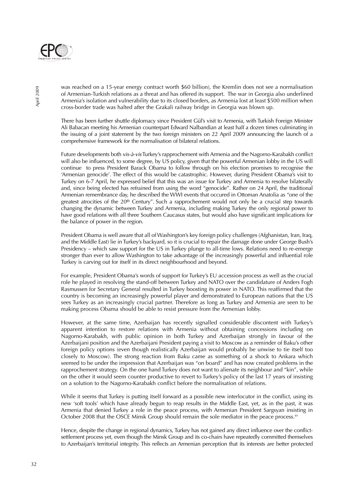

was reached on a 15-year energy contract worth \$60 billion), the Kremlin does not see a normalisation of Armenian-Turkish relations as a threat and has offered its support. The war in Georgia also underlined Armenia's isolation and vulnerability due to its closed borders, as Armenia lost at least \$500 million when cross-border trade was halted after the Grakali railway bridge in Georgia was blown up.

There has been further shuttle diplomacy since President Gül's visit to Armenia, with Turkish Foreign Minister Ali Babacan meeting his Armenian counterpart Edward Nalbandian at least half a dozen times culminating in the issuing of a joint statement by the two foreign ministers on 22 April 2009 announcing the launch of a comprehensive framework for the normalisation of bilateral relations.

Future developments both vis-à-vis Turkey's rapprochement with Armenia and the Nagorno-Karabakh conflict will also be influenced, to some degree, by US policy, given that the powerful Armenian lobby in the US will continue to press President Barack Obama to follow through on his election promises to recognise the 'Armenian genocide'. The effect of this would be catastrophic. However, during President Obama's visit to Turkey on 6-7 April, he expressed belief that this was an issue for Turkey and Armenia to resolve bilaterally and, since being elected has refrained from using the word "genocide". Rather on 24 April, the traditional Armenian remembrance day, he described the WWI events that occured in Ottoman Anatolia as "one of the greatest atrocities of the 20<sup>th</sup> Century". Such a rapprochement would not only be a crucial step towards changing the dynamic between Turkey and Armenia, including making Turkey the only regional power to have good relations with all three Southern Caucasus states, but would also have significant implications for the balance of power in the region.

President Obama is well aware that all of Washington's key foreign policy challenges (Afghanistan, Iran, Iraq, and the Middle East) lie in Turkey's backyard, so it is crucial to repair the damage done under George Bush's Presidency – which saw support for the US in Turkey plunge to all-time lows. Relations need to re-emerge stronger than ever to allow Washington to take advantage of the increasingly powerful and influential role Turkey is carving out for itself in its direct neighbourhood and beyond.

For example, President Obama's words of support for Turkey's EU accession process as well as the crucial role he played in resolving the stand-off between Turkey and NATO over the candidature of Anders Fogh Rasmussen for Secretary General resulted in Turkey boosting its power in NATO. This reaffirmed that the country is becoming an increasingly powerful player and demonstrated to European nations that the US sees Turkey as an increasingly crucial partner. Therefore as long as Turkey and Armenia are seen to be making process Obama should be able to resist pressure from the Armenian lobby.

However, at the same time, Azerbaijan has recently signalled considerable discontent with Turkey's apparent intention to restore relations with Armenia without obtaining concessions including on Nagorno-Karabakh, with public opinion in both Turkey and Azerbaijan strongly in favour of the Azerbaijani position and the Azerbaijani President paying a visit to Moscow as a reminder of Baku's other foreign policy options (even though realistically Azerbaijan would probably be unwise to tie itself too closely to Moscow). The strong reaction from Baku came as something of a shock to Ankara which seemed to be under the impression that Azerbaijan was "on board" and has now created problems in the rapprochement strategy. On the one hand Turkey does not want to alienate its neighbour and "kin", while on the other it would seem counter productive to revert to Turkey's policy of the last 17 years of insisting on a solution to the Nagorno-Karabakh conflict before the normalisation of relations.

While it seems that Turkey is putting itself forward as a possible new interlocutor in the conflict, using its new 'soft tools' which have already begun to reap results in the Middle East, yet, as in the past, it was Armenia that denied Turkey a role in the peace process, with Armenian President Sargsyan insisting in October 2008 that the OSCE Minsk Group should remain the sole mediator in the peace process.<sup>44</sup>

Hence, despite the change in regional dynamics, Turkey has not gained any direct influence over the conflictsettlement process yet, even though the Minsk Group and its co-chairs have repeatedly committed themselves to Azerbaijan's territorial integrity. This reflects an Armenian perception that its interests are better protected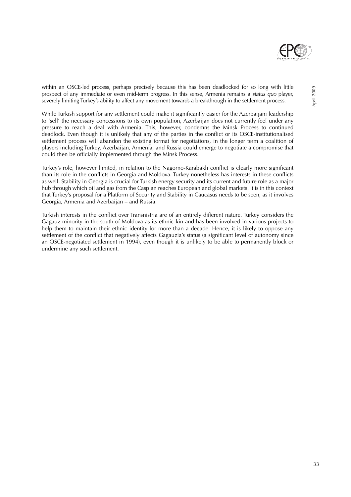

within an OSCE-led process, perhaps precisely because this has been deadlocked for so long with little prospect of any immediate or even mid-term progress. In this sense, Armenia remains a status quo player, severely limiting Turkey's ability to affect any movement towards a breakthrough in the settlement process.

While Turkish support for any settlement could make it significantly easier for the Azerbaijani leadership to 'sell' the necessary concessions to its own population, Azerbaijan does not currently feel under any pressure to reach a deal with Armenia. This, however, condemns the Minsk Process to continued deadlock. Even though it is unlikely that any of the parties in the conflict or its OSCE-institutionalised settlement process will abandon the existing format for negotiations, in the longer term a coalition of players including Turkey, Azerbaijan, Armenia, and Russia could emerge to negotiate a compromise that could then be officially implemented through the Minsk Process.

Turkey's role, however limited, in relation to the Nagorno-Karabakh conflict is clearly more significant than its role in the conflicts in Georgia and Moldova. Turkey nonetheless has interests in these conflicts as well. Stability in Georgia is crucial for Turkish energy security and its current and future role as a major hub through which oil and gas from the Caspian reaches European and global markets. It is in this context that Turkey's proposal for a Platform of Security and Stability in Caucasus needs to be seen, as it involves Georgia, Armenia and Azerbaijan – and Russia.

Turkish interests in the conflict over Transnistria are of an entirely different nature. Turkey considers the Gagauz minority in the south of Moldova as its ethnic kin and has been involved in various projects to help them to maintain their ethnic identity for more than a decade. Hence, it is likely to oppose any settlement of the conflict that negatively affects Gagauzia's status (a significant level of autonomy since an OSCE-negotiated settlement in 1994), even though it is unlikely to be able to permanently block or undermine any such settlement.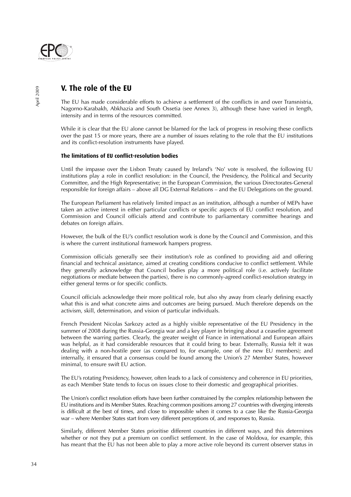

## **V. The role of the EU**

The EU has made considerable efforts to achieve a settlement of the conflicts in and over Transnistria, Nagorno-Karabakh, Abkhazia and South Ossetia (see Annex 3), although these have varied in length, intensity and in terms of the resources committed.

While it is clear that the EU alone cannot be blamed for the lack of progress in resolving these conflicts over the past 15 or more years, there are a number of issues relating to the role that the EU institutions and its conflict-resolution instruments have played.

#### **The limitations of EU conflict-resolution bodies**

Until the impasse over the Lisbon Treaty caused by Ireland's 'No' vote is resolved, the following EU institutions play a role in conflict resolution: in the Council, the Presidency, the Political and Security Committee, and the High Representative; in the European Commission, the various Directorates-General responsible for foreign affairs – above all DG External Relations – and the EU Delegations on the ground.

The European Parliament has relatively limited impact as an institution, although a number of MEPs have taken an active interest in either particular conflicts or specific aspects of EU conflict resolution, and Commission and Council officials attend and contribute to parliamentary committee hearings and debates on foreign affairs.

However, the bulk of the EU's conflict resolution work is done by the Council and Commission, and this is where the current institutional framework hampers progress.

Commission officials generally see their institution's role as confined to providing aid and offering financial and technical assistance, aimed at creating conditions conducive to conflict settlement. While they generally acknowledge that Council bodies play a more political role (i.e. actively facilitate negotiations or mediate between the parties), there is no commonly-agreed conflict-resolution strategy in either general terms or for specific conflicts.

Council officials acknowledge their more political role, but also shy away from clearly defining exactly what this is and what concrete aims and outcomes are being pursued. Much therefore depends on the activism, skill, determination, and vision of particular individuals.

French President Nicolas Sarkozy acted as a highly visible representative of the EU Presidency in the summer of 2008 during the Russia-Georgia war and a key player in bringing about a ceasefire agreement between the warring parties. Clearly, the greater weight of France in international and European affairs was helpful, as it had considerable resources that it could bring to bear. Externally, Russia felt it was dealing with a non-hostile peer (as compared to, for example, one of the new EU members); and internally, it ensured that a consensus could be found among the Union's 27 Member States, however minimal, to ensure swift EU action.

The EU's rotating Presidency, however, often leads to a lack of consistency and coherence in EU priorities, as each Member State tends to focus on issues close to their domestic and geographical priorities.

The Union's conflict resolution efforts have been further constrained by the complex relationship between the EU institutions and its Member States. Reaching common positions among 27 countries with diverging interests is difficult at the best of times, and close to impossible when it comes to a case like the Russia-Georgia war – where Member States start from very different perceptions of, and responses to, Russia.

Similarly, different Member States prioritise different countries in different ways, and this determines whether or not they put a premium on conflict settlement. In the case of Moldova, for example, this has meant that the EU has not been able to play a more active role beyond its current observer status in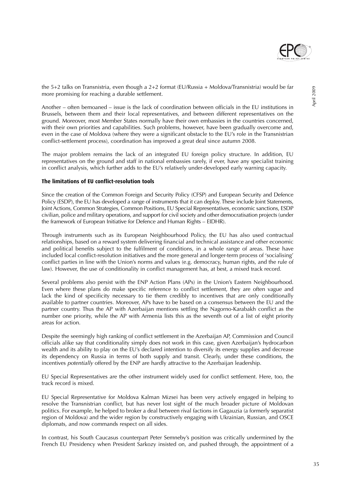

Another – often bemoaned – issue is the lack of coordination between officials in the EU institutions in Brussels, between them and their local representatives, and between different representatives on the ground. Moreover, most Member States normally have their own embassies in the countries concerned, with their own priorities and capabilities. Such problems, however, have been gradually overcome and, even in the case of Moldova (where they were a significant obstacle to the EU's role in the Transnistrian conflict-settlement process), coordination has improved a great deal since autumn 2008.

The major problem remains the lack of an integrated EU foreign policy structure. In addition, EU representatives on the ground and staff in national embassies rarely, if ever, have any specialist training in conflict analysis, which further adds to the EU's relatively under-developed early warning capacity.

#### **The limitations of EU conflict-resolution tools**

Since the creation of the Common Foreign and Security Policy (CFSP) and European Security and Defence Policy (ESDP), the EU has developed a range of instruments that it can deploy. These include Joint Statements, Joint Actions, Common Strategies, Common Positions, EU Special Representatives, economic sanctions, ESDP civilian, police and military operations, and support for civil society and other democratisation projects (under the framework of European Initiative for Defence and Human Rights – EIDHR).

Through instruments such as its European Neighbourhood Policy, the EU has also used contractual relationships, based on a reward system delivering financial and technical assistance and other economic and political benefits subject to the fulfilment of conditions, in a whole range of areas. These have included local conflict-resolution initiatives and the more general and longer-term process of 'socialising' conflict parties in line with the Union's norms and values (e.g. democracy, human rights, and the rule of law). However, the use of conditionality in conflict management has, at best, a mixed track record.

Several problems also persist with the ENP Action Plans (APs) in the Union's Eastern Neighbourhood. Even where these plans do make specific reference to conflict settlement, they are often vague and lack the kind of specificity necessary to tie them credibly to incentives that are only conditionally available to partner countries. Moreover, APs have to be based on a consensus between the EU and the partner country. Thus the AP with Azerbaijan mentions settling the Nagorno-Karabakh conflict as the number one priority, while the AP with Armenia lists this as the seventh out of a list of eight priority areas for action.

Despite the seemingly high ranking of conflict settlement in the Azerbaijan AP, Commission and Council officials alike say that conditionality simply does not work in this case, given Azerbaijan's hydrocarbon wealth and its ability to play on the EU's declared intention to diversify its energy supplies and decrease its dependency on Russia in terms of both supply and transit. Clearly, under these conditions, the incentives potentially offered by the ENP are hardly attractive to the Azerbaijan leadership.

EU Special Representatives are the other instrument widely used for conflict settlement. Here, too, the track record is mixed.

EU Special Representative for Moldova Kalman Mizsei has been very actively engaged in helping to resolve the Transnistrian conflict, but has never lost sight of the much broader picture of Moldovan politics. For example, he helped to broker a deal between rival factions in Gagauzia (a formerly separatist region of Moldova) and the wider region by constructively engaging with Ukrainian, Russian, and OSCE diplomats, and now commands respect on all sides.

In contrast, his South Caucasus counterpart Peter Semneby's position was critically undermined by the French EU Presidency when President Sarkozy insisted on, and pushed through, the appointment of a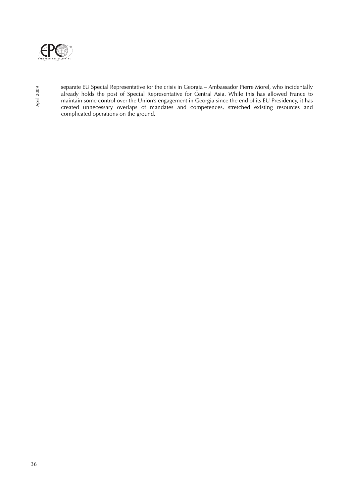

separate EU Special Representative for the crisis in Georgia – Ambassador Pierre Morel, who incidentally already holds the post of Special Representative for Central Asia. While this has allowed France to maintain some control over the Union's engagement in Georgia since the end of its EU Presidency, it has created unnecessary overlaps of mandates and competences, stretched existing resources and complicated operations on the ground.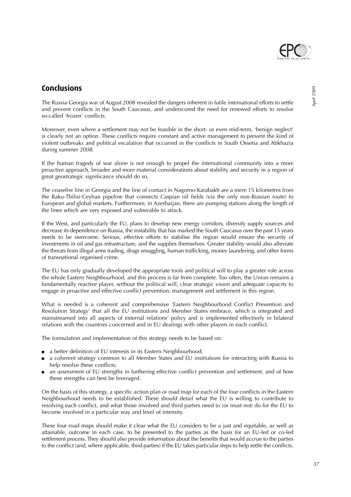

## **Conclusions**

The Russia-Georgia war of August 2008 revealed the dangers inherent in futile international efforts to settle and prevent conflicts in the South Caucasus, and underscored the need for renewed efforts to resolve so-called 'frozen' conflicts.

Moreover, even where a settlement may not be feasible in the short- or even mid-term, 'benign neglect' is clearly not an option. These conflicts require constant and active management to prevent the kind of violent outbreaks and political escalation that occurred in the conflicts in South Ossetia and Abkhazia during summer 2008.

If the human tragedy of war alone is not enough to propel the international community into a more proactive approach, broader and more material considerations about stability and security in a region of great geostrategic significance should do so.

The ceasefire line in Georgia and the line of contact in Nagorno-Karabakh are a mere 15 kilometres from the Baku-Tbilisi-Ceyhan pipeline that connects Caspian oil fields (via the only non-Russian route) to European and global markets. Furthermore, in Azerbaijan, there are pumping stations along the length of the lines which are very exposed and vulnerable to attack.

If the West, and particularly the EU, plans to develop new energy corridors, diversify supply sources and decrease its dependence on Russia, the instability that has marked the South Caucasus over the past 15 years needs to be overcome. Serious, effective efforts to stabilise the region would ensure the security of investments in oil and gas infrastructure, and the supplies themselves. Greater stability would also alleviate the threats from illegal arms trading, drugs smuggling, human trafficking, money laundering, and other forms of transnational organised crime.

The EU has only gradually developed the appropriate tools and political will to play a greater role across the whole Eastern Neighbourhood, and this process is far from complete. Too often, the Union remains a fundamentally reactive player, without the political will, clear strategic vision and adequate capacity to engage in proactive and effective conflict prevention, management and settlement in this region.

What is needed is a coherent and comprehensive 'Eastern Neighbourhood Conflict Prevention and Resolution Strategy' that all the EU institutions and Member States embrace, which is integrated and mainstreamed into all aspects of external relations' policy and is implemented effectively in bilateral relations with the countries concerned and in EU dealings with other players in each conflict.

The formulation and implementation of this strategy needs to be based on:

- a better definition of EU interests in its Eastern Neighbourhood;
- a coherent strategy common to all Member States and EU institutions for interacting with Russia to help resolve these conflicts;
- an assessment of EU strengths in furthering effective conflict prevention and settlement, and of how these strengths can best be leveraged.

On the basis of this strategy, a specific action plan or road map for each of the four conflicts in the Eastern Neighbourhood needs to be established. These should detail what the EU is willing to contribute to resolving each conflict, and what those involved and third parties need to (or must not) do for the EU to become involved in a particular way and level of intensity.

These four road maps should make it clear what the EU considers to be a just and equitable, as well as attainable, outcome in each case, to be presented to the parties as the basis for an EU-led or co-led settlement process. They should also provide information about the benefits that would accrue to the parties to the conflict (and, where applicable, third parties) if the EU takes particular steps to help settle the conflicts.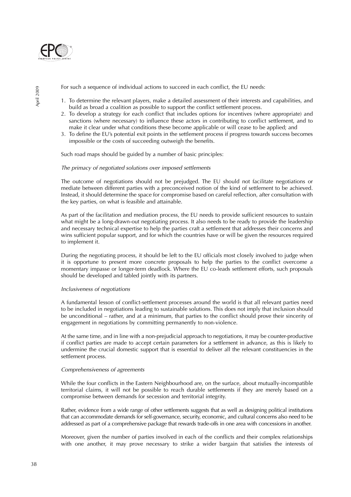

For such a sequence of individual actions to succeed in each conflict, the EU needs:

- 1. To determine the relevant players, make a detailed assessment of their interests and capabilities, and build as broad a coalition as possible to support the conflict settlement process.
- 2. To develop a strategy for each conflict that includes options for incentives (where appropriate) and sanctions (where necessary) to influence these actors in contributing to conflict settlement, and to make it clear under what conditions these become applicable or will cease to be applied; and
- 3. To define the EU's potential exit points in the settlement process if progress towards success becomes impossible or the costs of succeeding outweigh the benefits.

Such road maps should be guided by a number of basic principles:

#### The primacy of negotiated solutions over imposed settlements

The outcome of negotiations should not be prejudged. The EU should not facilitate negotiations or mediate between different parties with a preconceived notion of the kind of settlement to be achieved. Instead, it should determine the space for compromise based on careful reflection, after consultation with the key parties, on what is feasible and attainable.

As part of the facilitation and mediation process, the EU needs to provide sufficient resources to sustain what might be a long-drawn-out negotiating process. It also needs to be ready to provide the leadership and necessary technical expertise to help the parties craft a settlement that addresses their concerns and wins sufficient popular support, and for which the countries have or will be given the resources required to implement it.

During the negotiating process, it should be left to the EU officials most closely involved to judge when it is opportune to present more concrete proposals to help the parties to the conflict overcome a momentary impasse or longer-term deadlock. Where the EU co-leads settlement efforts, such proposals should be developed and tabled jointly with its partners.

#### Inclusiveness of negotiations

A fundamental lesson of conflict-settlement processes around the world is that all relevant parties need to be included in negotiations leading to sustainable solutions. This does not imply that inclusion should be unconditional – rather, and at a minimum, that parties to the conflict should prove their sincerity of engagement in negotiations by committing permanently to non-violence.

At the same time, and in line with a non-prejudicial approach to negotiations, it may be counter-productive if conflict parties are made to accept certain parameters for a settlement in advance, as this is likely to undermine the crucial domestic support that is essential to deliver all the relevant constituencies in the settlement process.

#### Comprehensiveness of agreements

While the four conflicts in the Eastern Neighbourhood are, on the surface, about mutually-incompatible territorial claims, it will not be possible to reach durable settlements if they are merely based on a compromise between demands for secession and territorial integrity.

Rather, evidence from a wide range of other settlements suggests that as well as designing political institutions that can accommodate demands for self-governance, security, economic, and cultural concerns also need to be addressed as part of a comprehensive package that rewards trade-offs in one area with concessions in another.

Moreover, given the number of parties involved in each of the conflicts and their complex relationships with one another, it may prove necessary to strike a wider bargain that satisfies the interests of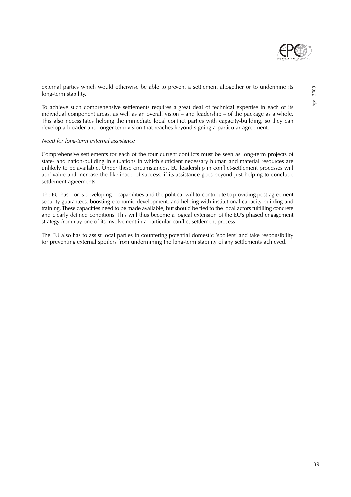

To achieve such comprehensive settlements requires a great deal of technical expertise in each of its individual component areas, as well as an overall vision – and leadership – of the package as a whole. This also necessitates helping the immediate local conflict parties with capacity-building, so they can develop a broader and longer-term vision that reaches beyond signing a particular agreement.

#### Need for long-term external assistance

Comprehensive settlements for each of the four current conflicts must be seen as long-term projects of state- and nation-building in situations in which sufficient necessary human and material resources are unlikely to be available. Under these circumstances, EU leadership in conflict-settlement processes will add value and increase the likelihood of success, if its assistance goes beyond just helping to conclude settlement agreements.

The EU has – or is developing – capabilities and the political will to contribute to providing post-agreement security guarantees, boosting economic development, and helping with institutional capacity-building and training. These capacities need to be made available, but should be tied to the local actors fulfilling concrete and clearly defined conditions. This will thus become a logical extension of the EU's phased engagement strategy from day one of its involvement in a particular conflict-settlement process.

The EU also has to assist local parties in countering potential domestic 'spoilers' and take responsibility for preventing external spoilers from undermining the long-term stability of any settlements achieved.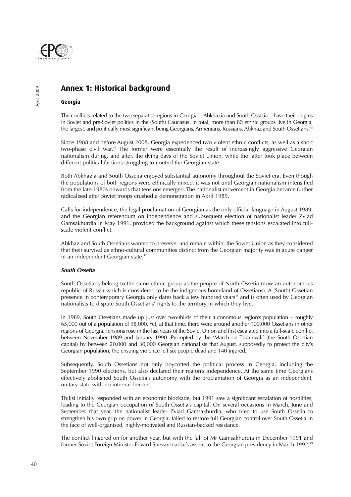

# **Annex 1: Historical background**

#### **Georgia**

The conflicts related to the two separatist regions in Georgia – Abkhazia and South Ossetia – have their origins in Soviet and pre-Soviet politics in the (South) Caucasus. In total, more than 80 ethnic groups live in Georgia, the largest, and politically most significant being Georgians, Armenians, Russians, Abkhaz and South Ossetians.<sup>45</sup>

Since 1988 and before August 2008, Georgia experienced two violent ethnic conflicts, as well as a short two-phase civil war.<sup>46</sup> The former were essentially the result of increasingly aggressive Georgian nationalism during, and after, the dying days of the Soviet Union, while the latter took place between different political factions struggling to control the Georgian state.

Both Abkhazia and South Ossetia enjoyed substantial autonomy throughout the Soviet era. Even though the populations of both regions were ethnically mixed, it was not until Georgian nationalism intensified from the late-1980s onwards that tensions emerged. The nationalist movement in Georgia became further radicalised after Soviet troops crushed a demonstration in April 1989.

Calls for independence, the legal proclamation of Georgian as the only official language in August 1989, and the Georgian referendum on independence and subsequent election of nationalist leader Zviad Gamsakhurdia in May 1991, provided the background against which these tensions escalated into fullscale violent conflict.

Abkhaz and South Ossetians wanted to preserve, and remain within, the Soviet Union as they considered that their survival as ethno-cultural communities distinct from the Georgian majority was in acute danger in an independent Georgian state.<sup>47</sup>

#### **South Ossetia**

South Ossetians belong to the same ethnic group as the people of North Ossetia (now an autonomous republic of Russia which is considered to be the indigenous homeland of Ossetians). A (South) Ossetian presence in contemporary Georgia only dates back a few hundred years<sup>48</sup> and is often used by Georgian nationalists to dispute South Ossetians' rights to the territory in which they live.

In 1989, South Ossetians made up just over two-thirds of their autonomous region's population – roughly 65,000 out of a population of 98,000. Yet, at that time, there were around another 100,000 Ossetians in other regions of Georgia. Tensions rose in the last years of the Soviet Union and first escalated into a full-scale conflict between November 1989 and January 1990. Prompted by the 'March on Tskhinvali' (the South Ossetian capital) by between 20,000 and 30,000 Georgian nationalists that August, supposedly to protect the city's Georgian population, the ensuing violence left six people dead and 140 injured.

Subsequently, South Ossetians not only boycotted the political process in Georgia, including the September 1990 elections, but also declared their region's independence. At the same time Georgians effectively abolished South Ossetia's autonomy with the proclamation of Georgia as an independent, unitary state with no internal borders.

Tbilisi initially responded with an economic blockade, but 1991 saw a significant escalation of hostilities, leading to the Georgian occupation of South Ossetia's capital. On several occasions in March, June and September that year, the nationalist leader Zviad Gamsakhurdia, who tried to use South Ossetia to strengthen his own grip on power in Georgia, failed to restore full Georgian control over South Ossetia in the face of well-organised, highly-motivated and Russian-backed resistance.

The conflict lingered on for another year, but with the fall of Mr Gamsakhurdia in December 1991 and former Soviet Foreign Minister Edvard Shevardnadse's assent to the Georgian presidency in March 1992,<sup>49</sup>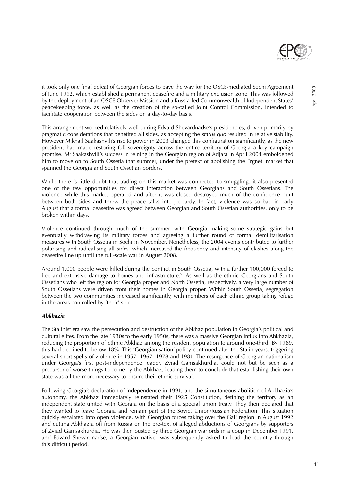

it took only one final defeat of Georgian forces to pave the way for the OSCE-mediated Sochi Agreement of June 1992, which established a permanent ceasefire and a military exclusion zone. This was followed by the deployment of an OSCE Observer Mission and a Russia-led Commonwealth of Independent States' peacekeeping force, as well as the creation of the so-called Joint Control Commission, intended to facilitate cooperation between the sides on a day-to-day basis.

This arrangement worked relatively well during Edvard Shevardnadse's presidencies, driven primarily by pragmatic considerations that benefited all sides, as accepting the status quo resulted in relative stability. However Mikhail Saakashvili's rise to power in 2003 changed this configuration significantly, as the new president had made restoring full sovereignty across the entire territory of Georgia a key campaign promise. Mr Saakashvili's success in reining in the Georgian region of Adjara in April 2004 emboldened him to move on to South Ossetia that summer, under the pretext of abolishing the Ergneti market that spanned the Georgia and South Ossetian borders.

While there is little doubt that trading on this market was connected to smuggling, it also presented one of the few opportunities for direct interaction between Georgians and South Ossetians. The violence while this market operated and after it was closed destroyed much of the confidence built between both sides and threw the peace talks into jeopardy. In fact, violence was so bad in early August that a formal ceasefire was agreed between Georgian and South Ossetian authorities, only to be broken within days.

Violence continued through much of the summer, with Georgia making some strategic gains but eventually withdrawing its military forces and agreeing a further round of formal demilitarisation measures with South Ossetia in Sochi in November. Nonetheless, the 2004 events contributed to further polarising and radicalising all sides, which increased the frequency and intensity of clashes along the ceasefire line up until the full-scale war in August 2008.

Around 1,000 people were killed during the conflict in South Ossetia, with a further 100,000 forced to flee and extensive damage to homes and infrastructure.<sup>50</sup> As well as the ethnic Georgians and South Ossetians who left the region for Georgia proper and North Ossetia, respectively, a very large number of South Ossetians were driven from their homes in Georgia proper. Within South Ossetia, segregation between the two communities increased significantly, with members of each ethnic group taking refuge in the areas controlled by 'their' side.

#### **Abkhazia**

The Stalinist era saw the persecution and destruction of the Abkhaz population in Georgia's political and cultural elites. From the late 1930s to the early 1950s, there was a massive Georgian influx into Abkhazia, reducing the proportion of ethnic Abkhaz among the resident population to around one-third. By 1989, this had declined to below 18%. This 'Georgianisation' policy continued after the Stalin years, triggering several short spells of violence in 1957, 1967, 1978 and 1981. The resurgence of Georgian nationalism under Georgia's first post-independence leader, Zviad Gamsakhurdia, could not but be seen as a precursor of worse things to come by the Abkhaz, leading them to conclude that establishing their own state was all the more necessary to ensure their ethnic survival.

Following Georgia's declaration of independence in 1991, and the simultaneous abolition of Abkhazia's autonomy, the Abkhaz immediately reinstated their 1925 Constitution, defining the territory as an independent state united with Georgia on the basis of a special union treaty. They then declared that they wanted to leave Georgia and remain part of the Soviet Union/Russian Federation. This situation quickly escalated into open violence, with Georgian forces taking over the Gali region in August 1992 and cutting Abkhazia off from Russia on the pre-text of alleged abductions of Georgians by supporters of Zviad Gamsakhurdia. He was then ousted by three Georgian warlords in a coup in December 1991, and Edvard Shevardnadse, a Georgian native, was subsequently asked to lead the country through this difficult period.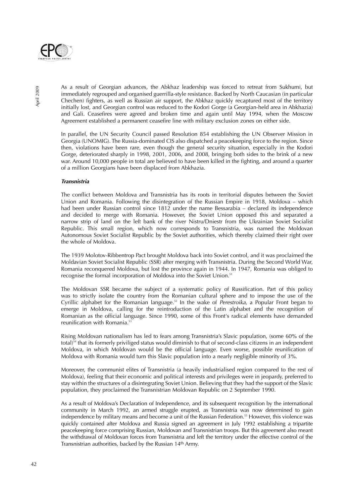

As a result of Georgian advances, the Abkhaz leadership was forced to retreat from Sukhumi, but immediately regrouped and organised guerrilla-style resistance. Backed by North Caucasian (in particular Chechen) fighters, as well as Russian air support, the Abkhaz quickly recaptured most of the territory initially lost, and Georgian control was reduced to the Kodori Gorge (a Georgian-held area in Abkhazia) and Gali. Ceasefires were agreed and broken time and again until May 1994, when the Moscow Agreement established a permanent ceasefire line with military exclusion zones on either side.

In parallel, the UN Security Council passed Resolution 854 establishing the UN Observer Mission in Georgia (UNOMIG). The Russia-dominated CIS also dispatched a peacekeeping force to the region. Since then, violations have been rare, even though the general security situation, especially in the Kodori Gorge, deteriorated sharply in 1998, 2001, 2006, and 2008, bringing both sides to the brink of a new war. Around 10,000 people in total are believed to have been killed in the fighting, and around a quarter of a million Georgians have been displaced from Abkhazia.

#### **Transnistria**

The conflict between Moldova and Transnistria has its roots in territorial disputes between the Soviet Union and Romania. Following the disintegration of the Russian Empire in 1918, Moldova – which had been under Russian control since 1812 under the name Bessarabia – declared its independence and decided to merge with Romania. However, the Soviet Union opposed this and separated a narrow strip of land on the left bank of the river Nistru/Dniestr from the Ukrainian Soviet Socialist Republic. This small region, which now corresponds to Transnistria, was named the Moldovan Autonomous Soviet Socialist Republic by the Soviet authorities, which thereby claimed their right over the whole of Moldova.

The 1939 Molotov-Ribbentrop Pact brought Moldova back into Soviet control, and it was proclaimed the Moldavian Soviet Socialist Republic (SSR) after merging with Transnistria. During the Second World War, Romania reconquered Moldova, but lost the province again in 1944. In 1947, Romania was obliged to recognise the formal incorporation of Moldova into the Soviet Union.<sup>51</sup>

The Moldovan SSR became the subject of a systematic policy of Russification. Part of this policy was to strictly isolate the country from the Romanian cultural sphere and to impose the use of the Cyrillic alphabet for the Romanian language.<sup>52</sup> In the wake of *Perestroika*, a Popular Front began to emerge in Moldova, calling for the reintroduction of the Latin alphabet and the recognition of Romanian as the official language. Since 1990, some of this Front's radical elements have demanded reunification with Romania.<sup>53</sup>

Rising Moldovan nationalism has led to fears among Transnistria's Slavic population, (some 60% of the total)<sup>54</sup> that its formerly priviliged status would diminish to that of second-class citizens in an independent Moldova, in which Moldovan would be the official language. Even worse, possible reunification of Moldova with Romania would turn this Slavic population into a nearly negligible minority of 3%.

Moreover, the communist elites of Transnistria (a heavily industrialised region compared to the rest of Moldova), feeling that their economic and political interests and privileges were in jeopardy, preferred to stay within the structures of a disintegrating Soviet Union. Believing that they had the support of the Slavic population, they proclaimed the Transnistrian Moldovan Republic on 2 September 1990.

As a result of Moldova's Declaration of Independence, and its subsequent recognition by the international community in March 1992, an armed struggle erupted, as Transnistria was now determined to gain independence by military means and become a unit of the Russian Federation.<sup>55</sup> However, this violence was quickly contained after Moldova and Russia signed an agreement in July 1992 establishing a tripartite peacekeeping force comprising Russian, Moldovan and Transnistrian troops. But this agreement also meant the withdrawal of Moldovan forces from Transnistria and left the territory under the effective control of the Transnistrian authorities, backed by the Russian 14th Army.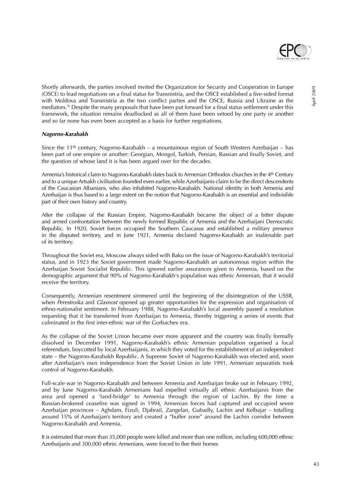

April 2009

Shortly afterwards, the parties involved invited the Organization for Security and Cooperation in Europe (OSCE) to lead negotiations on a final status for Transnistria, and the OSCE established a five-sided format with Moldova and Transnistria as the two conflict parties and the OSCE, Russia and Ukraine as the mediators.56 Despite the many proposals that have been put forward for a final status settlement under this framework, the situation remains deadlocked as all of them have been vetoed by one party or another and so far none has even been accepted as a basis for further negotiations.

#### **Nagorno-Karabakh**

Since the 11th century, Nagorno-Karabakh – a mountainous region of South Western Azerbaijan – has been part of one empire or another: Georgian, Mongol, Turkish, Persian, Russian and finally Soviet, and the question of whose land it is has been argued over for the decades.

Armenia's historical claim to Nagorno-Karabakh dates back to Armenian Orthodox churches in the 4th Century and to a unique Artsakh civilisation founded even earlier, while Azerbaijanis claim to be the direct descendents of the Caucasian Albanians, who also inhabited Nagorno-Karabakh. National identity in both Armenia and Azerbaijan is thus based to a large extent on the notion that Nagorno-Karabakh is an essential and indivisible part of their own history and country.

After the collapse of the Russian Empire, Nagorno-Karabakh became the object of a bitter dispute and armed confrontation between the newly formed Republic of Armenia and the Azerbaijani Democratic Republic. In 1920, Soviet forces occupied the Southern Caucasus and established a military presence in the disputed territory, and in June 1921, Armenia declared Nagorno-Karabakh an inalienable part of its territory.

Throughout the Soviet era, Moscow always sided with Baku on the issue of Nagorno-Karabakh's territorial status, and in 1923 the Soviet government made Nagorno-Karabakh an autonomous region within the Azerbaijan Soviet Socialist Republic. This ignored earlier assurances given to Armenia, based on the demographic argument that 90% of Nagorno-Karabakh's population was ethnic Armenian, that it would receive the territory.

Consequently, Armenian resentment simmered until the beginning of the disintegration of the USSR, when Perestroika and Glasnost opened up greater opportunities for the expression and organisation of ethno-nationalist sentiment. In February 1988, Nagorno-Karabakh's local assembly passed a resolution requesting that it be transferred from Azerbaijan to Armenia, thereby triggering a series of events that culminated in the first inter-ethnic war of the Gorbachev era.

As the collapse of the Soviet Union became ever more apparent and the country was finally formally dissolved in December 1991, Nagorno-Karabakh's ethnic Armenian population organised a local referendum, boycotted by local Azerbaijanis, in which they voted for the establishment of an independent state – the Nagorno-Karabakh Republic. A Supreme Soviet of Nagorno-Karabakh was elected and, soon after Azerbaijan's own independence from the Soviet Union in late 1991, Armenian separatists took control of Nagorno-Karabakh.

Full-scale war in Nagorno-Karabakh and between Armenia and Azerbaijan broke out in February 1992, and by June Nagorno-Karabakh Armenians had expelled virtually all ethnic Azerbaijanis from the area and opened a 'land-bridge' to Armenia through the region of Lachin. By the time a Russian-brokered ceasefire was signed in 1994, Armenian forces had captured and occupied seven Azerbaijan provinces – Aghdam, Fizuli, Djabrail, Zangelan, Gubadly, Lachin and Kelbajar – totalling around 15% of Azerbaijan's territory and created a "buffer zone" around the Lachin corridor between Nagorno-Karabakh and Armenia.

It is estimated that more than 35,000 people were killed and more than one million, including 600,000 ethnic Azerbaijanis and 300,000 ethnic Armenians, were forced to flee their homes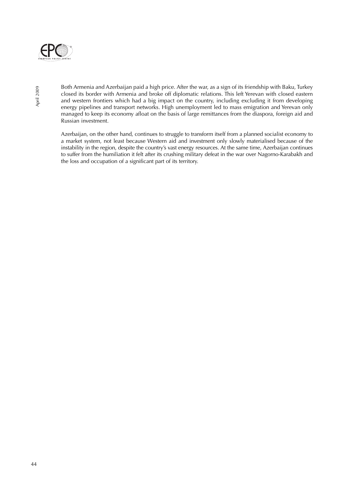

Both Armenia and Azerbaijan paid a high price. After the war, as a sign of its friendship with Baku, Turkey closed its border with Armenia and broke off diplomatic relations. This left Yerevan with closed eastern and western frontiers which had a big impact on the country, including excluding it from developing energy pipelines and transport networks. High unemployment led to mass emigration and Yerevan only managed to keep its economy afloat on the basis of large remittances from the diaspora, foreign aid and Russian investment.

Azerbaijan, on the other hand, continues to struggle to transform itself from a planned socialist economy to a market system, not least because Western aid and investment only slowly materialised because of the instability in the region, despite the country's vast energy resources. At the same time, Azerbaijan continues to suffer from the humiliation it felt after its crushing military defeat in the war over Nagorno-Karabakh and the loss and occupation of a significant part of its territory.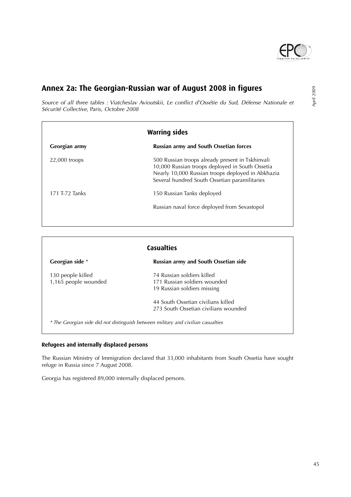

# **Annex 2a: The Georgian-Russian war of August 2008 in figures**

Source of all three tables : Viatcheslav Avioutskii, Le conflict d'Ossétie du Sud, Défense Nationale et Sécurité Collective, Paris, Octobre 2008

| <b>Warring sides</b> |                                                                                                                                                                                                           |  |
|----------------------|-----------------------------------------------------------------------------------------------------------------------------------------------------------------------------------------------------------|--|
| Georgian army        | <b>Russian army and South Ossetian forces</b>                                                                                                                                                             |  |
| $22,000$ troops      | 500 Russian troops already present in Tskhinvali<br>10,000 Russian troops deployed in South Ossetia<br>Nearly 10,000 Russian troops deployed in Abkhazia<br>Several hundred South Ossetian paramilitaries |  |
| 171 T-72 Tanks       | 150 Russian Tanks deployed                                                                                                                                                                                |  |
|                      | Russian naval force deployed from Sevastopol                                                                                                                                                              |  |

| <b>Casualties</b>    |                                      |  |
|----------------------|--------------------------------------|--|
| Georgian side *      | Russian army and South Ossetian side |  |
| 130 people killed    | 74 Russian soldiers killed           |  |
| 1,165 people wounded | 171 Russian soldiers wounded         |  |
|                      | 19 Russian soldiers missing          |  |
|                      | 44 South Ossetian civilians killed   |  |
|                      | 273 South Ossetian civilians wounded |  |

#### **Refugees and internally displaced persons**

The Russian Ministry of Immigration declared that 33,000 inhabitants from South Ossetia have sought refuge in Russia since 7 August 2008.

Georgia has registered 89,000 internally displaced persons.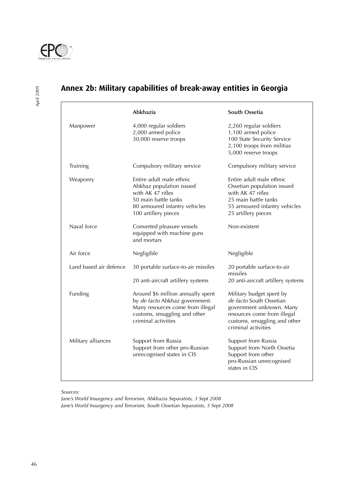

April 2009

# **Annex 2b: Military capabilities of break-away entities in Georgia**

|                        | Abkhazia                                                                                                                                                       | South Ossetia                                                                                                                                                         |
|------------------------|----------------------------------------------------------------------------------------------------------------------------------------------------------------|-----------------------------------------------------------------------------------------------------------------------------------------------------------------------|
| Manpower               | 4,000 regular soldiers<br>2,000 armed police<br>30,000 reserve troops                                                                                          | 2,260 regular soldiers<br>1,100 armed police<br>100 State Security Service<br>2,100 troops from militias<br>5,000 reserve troops                                      |
| Training               | Compulsory military service                                                                                                                                    | Compulsory military service                                                                                                                                           |
| Weaponry               | Entire adult male ethnic<br>Abkhaz population issued<br>with AK 47 rifles<br>50 main battle tanks<br>80 armoured infantry vehicles<br>100 artillery pieces     | Entire adult male ethnic<br>Ossetian population issued<br>with AK 47 rifles<br>25 main battle tanks<br>55 armoured infantry vehicles<br>25 artillery pieces           |
| Naval force            | Converted pleasure vessels<br>equipped with machine guns<br>and mortars                                                                                        | Non-existent                                                                                                                                                          |
| Air force              | Negligible                                                                                                                                                     | Negligible                                                                                                                                                            |
| Land based air defence | 30 portable surface-to-air missiles<br>20 anti-aircraft artillery systems                                                                                      | 20 portable surface-to-air<br>missiles<br>20 anti-aircraft artillery systems                                                                                          |
| Funding                | Around \$6 million annually spent<br>by de facto Abkhaz government.<br>Many resources come from illegal<br>customs, smuggling and other<br>criminal activities | Military budget spent by<br>de facto South Ossetian<br>government unknown. Many<br>resources come from illegal<br>customs, smuggling and other<br>criminal activities |
| Military alliances     | Support from Russia<br>Support from other pro-Russian<br>unrecognised states in CIS                                                                            | Support from Russia<br>Support from North Ossetia<br>Support from other<br>pro-Russian unrecognised<br>states in CIS                                                  |

Sources:

Jane's World Insurgency and Terrorism, Abkhazia Separatists, 3 Sept 2008 Jane's World Insurgency and Terrorism, South Ossetian Separatists, 3 Sept 2008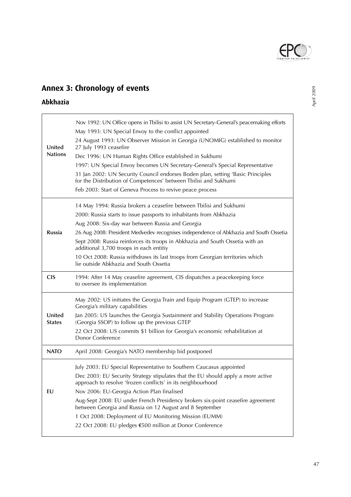

# **Annex 3: Chronology of events**

## **Abkhazia**

| United<br><b>Nations</b> | Nov 1992: UN Office opens in Tbilisi to assist UN Secretary-General's peacemaking efforts<br>May 1993: UN Special Envoy to the conflict appointed<br>24 August 1993: UN Observer Mission in Georgia (UNOMIG) established to monitor<br>27 July 1993 ceasefire<br>Dec 1996: UN Human Rights Office established in Sukhumi<br>1997: UN Special Envoy becomes UN Secretary-General's Special Representative<br>31 Jan 2002: UN Security Council endorses Boden plan, setting 'Basic Principles<br>for the Distribution of Competences' between Tbilisi and Sukhumi<br>Feb 2003: Start of Geneva Process to revive peace process |
|--------------------------|------------------------------------------------------------------------------------------------------------------------------------------------------------------------------------------------------------------------------------------------------------------------------------------------------------------------------------------------------------------------------------------------------------------------------------------------------------------------------------------------------------------------------------------------------------------------------------------------------------------------------|
| Russia                   | 14 May 1994: Russia brokers a ceasefire between Tbilisi and Sukhumi<br>2000: Russia starts to issue passports to inhabitants from Abkhazia<br>Aug 2008: Six-day war between Russia and Georgia<br>26 Aug 2008: President Medvedev recognises independence of Abkhazia and South Ossetia<br>Sept 2008: Russia reinforces its troops in Abkhazia and South Ossetia with an<br>additional 3,700 troops in each entitiy<br>10 Oct 2008: Russia withdraws its last troops from Georgian territories which<br>lie outside Abkhazia and South Ossetia                                                                               |
| <b>CIS</b>               | 1994: After 14 May ceasefire agreement, CIS dispatches a peacekeeping force<br>to oversee its implementation                                                                                                                                                                                                                                                                                                                                                                                                                                                                                                                 |
| United<br><b>States</b>  | May 2002: US initiates the Georgia Train and Equip Program (GTEP) to increase<br>Georgia's military capabilities<br>Jan 2005: US launches the Georgia Sustainment and Stability Operations Program<br>(Georgia SSOP) to follow up the previous GTEP<br>22 Oct 2008: US commits \$1 billion for Georgia's economic rehabilitation at<br>Donor Conference                                                                                                                                                                                                                                                                      |
| <b>NATO</b>              | April 2008: Georgia's NATO membership bid postponed                                                                                                                                                                                                                                                                                                                                                                                                                                                                                                                                                                          |
| EU                       | July 2003: EU Special Representative to Southern Caucasus appointed<br>Dec 2003: EU Security Strategy stipulates that the EU should apply a more active<br>approach to resolve 'frozen conflicts' in its neighbourhood<br>Nov 2006: EU-Georgia Action Plan finalised<br>Aug-Sept 2008: EU under French Presidency brokers six-point ceasefire agreement<br>between Georgia and Russia on 12 August and 8 September<br>1 Oct 2008: Deployment of EU Monitoring Mission (EUMM)<br>22 Oct 2008: EU pledges €500 million at Donor Conference                                                                                     |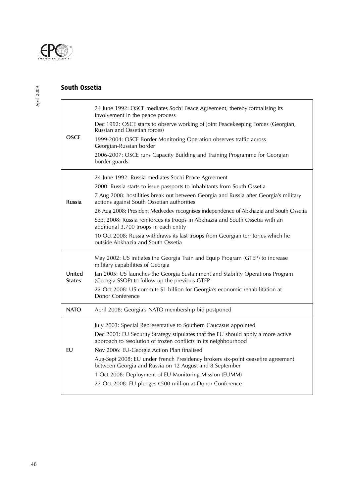

## **South Ossetia**

| <b>OSCE</b>             | 24 June 1992: OSCE mediates Sochi Peace Agreement, thereby formalising its<br>involvement in the peace process<br>Dec 1992: OSCE starts to observe working of Joint Peacekeeping Forces (Georgian,<br>Russian and Ossetian forces)<br>1999-2004: OSCE Border Monitoring Operation observes traffic across<br>Georgian-Russian border<br>2006-2007: OSCE runs Capacity Building and Training Programme for Georgian<br>border guards                                                                                                                                                                                   |
|-------------------------|-----------------------------------------------------------------------------------------------------------------------------------------------------------------------------------------------------------------------------------------------------------------------------------------------------------------------------------------------------------------------------------------------------------------------------------------------------------------------------------------------------------------------------------------------------------------------------------------------------------------------|
| <b>Russia</b>           | 24 June 1992: Russia mediates Sochi Peace Agreement<br>2000: Russia starts to issue passports to inhabitants from South Ossetia<br>7 Aug 2008: hostilities break out between Georgia and Russia after Georgia's military<br>actions against South Ossetian authorities<br>26 Aug 2008: President Medvedev recognises independence of Abkhazia and South Ossetia<br>Sept 2008: Russia reinforces its troops in Abkhazia and South Ossetia with an<br>additional 3,700 troops in each entity<br>10 Oct 2008: Russia withdraws its last troops from Georgian territories which lie<br>outside Abkhazia and South Ossetia |
| United<br><b>States</b> | May 2002: US initiates the Georgia Train and Equip Program (GTEP) to increase<br>military capabilities of Georgia<br>Jan 2005: US launches the Georgia Sustainment and Stability Operations Program<br>(Georgia SSOP) to follow up the previous GTEP<br>22 Oct 2008: US commits \$1 billion for Georgia's economic rehabilitation at<br>Donor Conference                                                                                                                                                                                                                                                              |
| <b>NATO</b>             | April 2008: Georgia's NATO membership bid postponed                                                                                                                                                                                                                                                                                                                                                                                                                                                                                                                                                                   |
| EU                      | July 2003: Special Representative to Southern Caucasus appointed<br>Dec 2003: EU Security Strategy stipulates that the EU should apply a more active<br>approach to resolution of frozen conflicts in its neighbourhood<br>Nov 2006: EU-Georgia Action Plan finalised<br>Aug-Sept 2008: EU under French Presidency brokers six-point ceasefire agreement<br>between Georgia and Russia on 12 August and 8 September<br>1 Oct 2008: Deployment of EU Monitoring Mission (EUMM)<br>22 Oct 2008: EU pledges €500 million at Donor Conference                                                                             |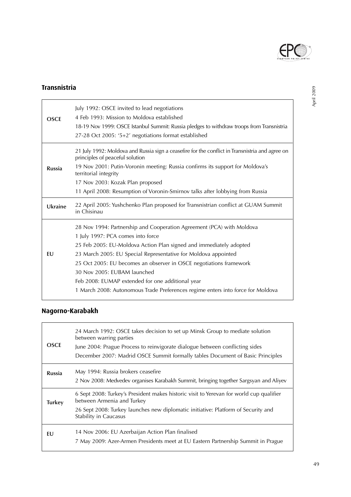

## **Transnistria**

| <b>OSCE</b>   | July 1992: OSCE invited to lead negotiations<br>4 Feb 1993: Mission to Moldova established<br>18-19 Nov 1999: OSCE Istanbul Summit: Russia pledges to withdraw troops from Transnistria<br>27-28 Oct 2005: '5+2' negotiations format established                                                                                                                                                                                                                                               |  |  |
|---------------|------------------------------------------------------------------------------------------------------------------------------------------------------------------------------------------------------------------------------------------------------------------------------------------------------------------------------------------------------------------------------------------------------------------------------------------------------------------------------------------------|--|--|
| <b>Russia</b> | 21 July 1992: Moldova and Russia sign a ceasefire for the conflict in Transnistria and agree on<br>principles of peaceful solution<br>19 Nov 2001: Putin-Voronin meeting: Russia confirms its support for Moldova's<br>territorial integrity<br>17 Nov 2003: Kozak Plan proposed<br>11 April 2008: Resumption of Voronin-Smirnov talks after lobbying from Russia                                                                                                                              |  |  |
| Ukraine       | 22 April 2005: Yushchenko Plan proposed for Transnistrian conflict at GUAM Summit<br>in Chisinau                                                                                                                                                                                                                                                                                                                                                                                               |  |  |
| EU            | 28 Nov 1994: Partnership and Cooperation Agreement (PCA) with Moldova<br>1 July 1997: PCA comes into force<br>25 Feb 2005: EU-Moldova Action Plan signed and immediately adopted<br>23 March 2005: EU Special Representative for Moldova appointed<br>25 Oct 2005: EU becomes an observer in OSCE negotiations framework<br>30 Nov 2005: EUBAM launched<br>Feb 2008: EUMAP extended for one additional year<br>1 March 2008: Autonomous Trade Preferences regime enters into force for Moldova |  |  |

# **Nagorno-Karabakh**

| <b>OSCE</b>   | 24 March 1992: OSCE takes decision to set up Minsk Group to mediate solution<br>between warring parties<br>June 2004: Prague Process to reinvigorate dialogue between conflicting sides<br>December 2007: Madrid OSCE Summit formally tables Document of Basic Principles |
|---------------|---------------------------------------------------------------------------------------------------------------------------------------------------------------------------------------------------------------------------------------------------------------------------|
| <b>Russia</b> | May 1994: Russia brokers ceasefire<br>2 Nov 2008: Medvedev organises Karabakh Summit, bringing together Sargsyan and Aliyev                                                                                                                                               |
| <b>Turkey</b> | 6 Sept 2008: Turkey's President makes historic visit to Yerevan for world cup qualifier<br>between Armenia and Turkey                                                                                                                                                     |
|               | 26 Sept 2008: Turkey launches new diplomatic initiative: Platform of Security and<br>Stability in Caucasus                                                                                                                                                                |
| EU            | 14 Nov 2006: EU Azerbaijan Action Plan finalised<br>7 May 2009: Azer-Armen Presidents meet at EU Eastern Partnership Summit in Prague                                                                                                                                     |
|               |                                                                                                                                                                                                                                                                           |

# April 2009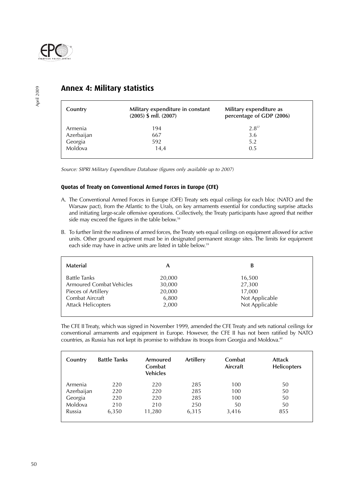

| Country    | Military expenditure in constant<br>$(2005)$ \$ mll. $(2007)$ | Military expenditure as<br>percentage of GDP (2006) |
|------------|---------------------------------------------------------------|-----------------------------------------------------|
| Armenia    | 194                                                           | $2.8^{57}$                                          |
| Azerbaijan | 667                                                           | 3.6                                                 |
| Georgia    | 592                                                           | 5.2                                                 |
| Moldova    | 14,4                                                          | 0.5                                                 |
|            |                                                               |                                                     |

## **Annex 4: Military statistics**

Source: SIPRI Military Expenditure Database (figures only available up to 2007)

#### **Quotas of Treaty on Conventional Armed Forces in Europe (CFE)**

- A. The Conventional Armed Forces in Europe (OFE) Treaty sets equal ceilings for each bloc (NATO and the Warsaw pact), from the Atlantic to the Urals, on key armaments essential for conducting surprise attacks and initiating large-scale offensive operations. Collectively, the Treaty participants have agreed that neither side may exceed the figures in the table below.<sup>58</sup>
- B. To further limit the readiness of armed forces, the Treaty sets equal ceilings on equipment allowed for active units. Other ground equipment must be in designated permanent storage sites. The limits for equipment each side may have in active units are listed in table below.<sup>59</sup>

| Material                  | А      | B              |
|---------------------------|--------|----------------|
| Battle Tanks              | 20,000 | 16,500         |
| Armoured Combat Vehicles  | 30,000 | 27,300         |
| Pieces of Artillery       | 20,000 | 17,000         |
| Combat Aircraft           | 6,800  | Not Applicable |
| <b>Attack Helicopters</b> | 2,000  | Not Applicable |
|                           |        |                |

The CFE II Treaty, which was signed in November 1999, amended the CFE Treaty and sets national ceilings for conventional armaments and equipment in Europe. However, the CFE II has not been ratified by NATO countries, as Russia has not kept its promise to withdraw its troops from Georgia and Moldova.<sup>60</sup>

| Country    | <b>Battle Tanks</b> | Armoured<br>Combat<br><b>Vehicles</b> | Artillery | Combat<br>Aircraft | <b>Attack</b><br>Helicopters |
|------------|---------------------|---------------------------------------|-----------|--------------------|------------------------------|
| Armenia    | 220                 | 220                                   | 285       | 100                | 50                           |
| Azerbaijan | 220                 | 220                                   | 285       | 100                | 50                           |
| Georgia    | 220                 | 220                                   | 285       | 100                | 50                           |
| Moldova    | 210                 | 210                                   | 250       | 50                 | 50                           |
| Russia     | 6,350               | 11,280                                | 6,315     | 3,416              | 855                          |
|            |                     |                                       |           |                    |                              |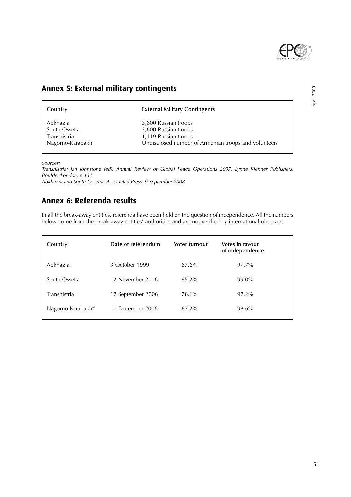

April 2009

# **Annex 5: External military contingents**

| Country          | <b>External Military Contingents</b>                 |
|------------------|------------------------------------------------------|
| Abkhazia         | 3,800 Russian troops                                 |
| South Ossetia    | 3,800 Russian troops                                 |
| Transnistria     | 1,119 Russian troops                                 |
| Nagorno-Karabakh | Undisclosed number of Armenian troops and volunteers |

Sources:

Transnistria: Ian Johnstone (ed), Annual Review of Global Peace Operations 2007, Lynne Rienner Publishers, Boulder/London, p.131

Abkhazia and South Ossetia: Associated Press, 9 September 2008

# **Annex 6: Referenda results**

In all the break-away entities, referenda have been held on the question of independence. All the numbers below come from the break-away entities' authorities and are not verified by international observers.

| Country                        | Date of referendum | Voter turnout | Votes in favour<br>of independence |
|--------------------------------|--------------------|---------------|------------------------------------|
| Abkhazia                       | 3 October 1999     | 87.6%         | 97.7%                              |
| South Ossetia                  | 12 November 2006   | $95.2\%$      | 99.0%                              |
| Transnistria                   | 17 September 2006  | 78.6%         | 97.2%                              |
| Nagorno-Karabakh <sup>61</sup> | 10 December 2006   | 87.2%         | 98.6%                              |

51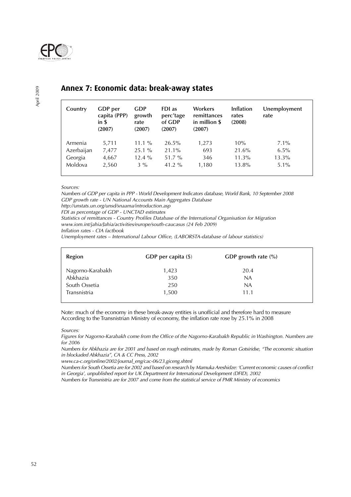

April 2009

## **Annex 7: Economic data: break-away states**

| Country               | GDP per<br>capita (PPP)<br>in $S$<br>(2007) | <b>GDP</b><br>growth<br>rate<br>(2007) | FDI as<br>perc'tage<br>of GDP<br>(2007) | Workers<br>remittances<br>in million \$<br>(2007) | Inflation<br>rates<br>(2008) | Unemployment<br>rate |
|-----------------------|---------------------------------------------|----------------------------------------|-----------------------------------------|---------------------------------------------------|------------------------------|----------------------|
| Armenia<br>Azerbaijan | 5,711<br>7,477                              | $11.1\%$<br>$25.1\%$                   | 26.5%<br>21.1%                          | 1,273<br>693                                      | 10%<br>21.6%                 | $7.1\%$<br>$6.5\%$   |
| Georgia               | 4,667                                       | $12.4\%$                               | $51.7\%$                                | 346                                               | $11.3\%$                     | $13.3\%$             |
| Moldova               | 2,560                                       | $3\%$                                  | 41.2 $%$                                | 1,180                                             | 13.8%                        | $5.1\%$              |

Sources:

Numbers of GDP per capita in PPP - World Development Indicators database, World Bank, 10 September 2008 GDP growth rate - UN National Accounts Main Aggregates Database

http://unstats.un.org/unsd/snaama/introduction.asp

FDI as percentage of GDP - UNCTAD estimates

Statistics of remittances - Country Profiles Database of the International Organisation for Migration

www.iom.int/jahia/Jahia/activities/europe/south-caucasus (24 Feb 2009)

Inflation rates - CIA factbook

Unemployment rates – International Labour Office, (LABORSTA-database of labour statistics)

| Region           | GDP per capita $(\$)$ | GDP growth rate $(\%)$ |  |
|------------------|-----------------------|------------------------|--|
| Nagorno-Karabakh | 1,423                 | 20.4                   |  |
| Abkhazia         | 350                   | <b>NA</b>              |  |
| South Ossetia    | 250                   | NA                     |  |
| Transnistria     | 1,500                 | 11.1                   |  |
|                  |                       |                        |  |

Note: much of the economy in these break-away entities is unofficial and therefore hard to measure According to the Transnistrian Ministry of economy, the inflation rate rose by 25.1% in 2008

Sources:

Figures for Nagorno-Karabakh come from the Office of the Nagorno-Karabakh Republic in Washington. Numbers are for 2006

Numbers for Abkhazia are for 2001 and based on rough estimates, made by Roman Gotsiridse, "The economic situation in blockaded Abkhazia", CA & CC Press, 2002

www.ca-c.org/online/2002/journal\_eng/cac-06/23.giceng.shtml

Numbers for South Ossetia are for 2002 and based on research by Mamuka Areshidze: 'Current economic causes of conflict in Georgia', unpublished report for UK Department for International Development (DFID), 2002

Numbers for Transnistria are for 2007 and come from the statistical service of PMR Ministry of economics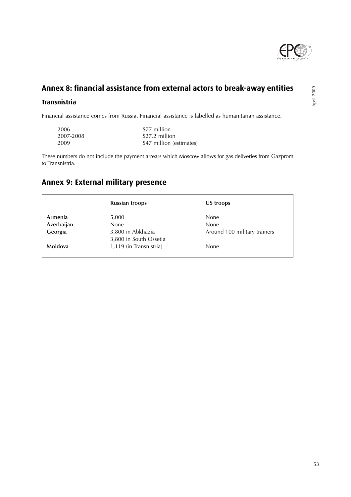

# **Annex 8: financial assistance from external actors to break-away entities**

#### **Transnistria**

Financial assistance comes from Russia. Financial assistance is labelled as humanitarian assistance.

| 2006      | \$77 million             |
|-----------|--------------------------|
| 2007-2008 | \$27.2 million           |
| 2009      | \$47 million (estimates) |

These numbers do not include the payment arrears which Moscow allows for gas deliveries from Gazprom to Transnistria.

# **Annex 9: External military presence**

|            | <b>Russian troops</b>   | US troops                    |
|------------|-------------------------|------------------------------|
| Armenia    | 5,000                   | <b>None</b>                  |
| Azerbaijan | None                    | None                         |
| Georgia    | 3,800 in Abkhazia       | Around 100 military trainers |
|            | 3,800 in South Ossetia  |                              |
| Moldova    | 1,119 (in Transnistria) | None                         |

April 2009